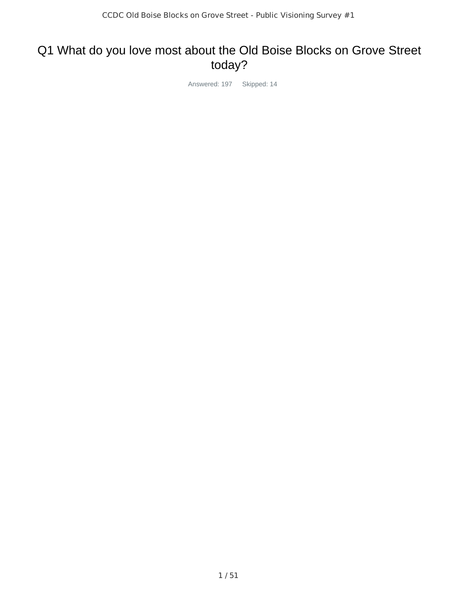## Q1 What do you love most about the Old Boise Blocks on Grove Street today?

Answered: 197 Skipped: 14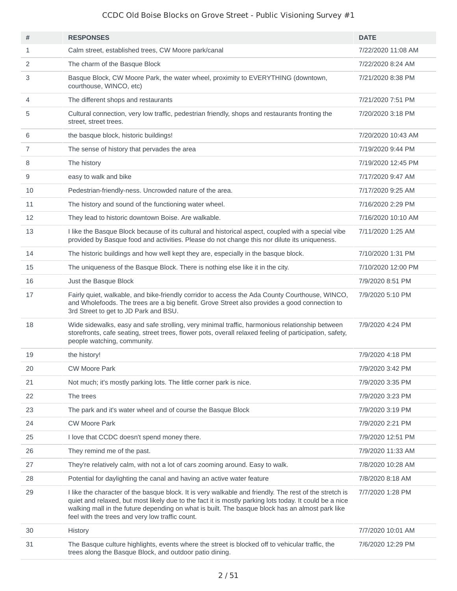| #              | <b>RESPONSES</b>                                                                                                                                                                                                                                                                                                                                                       | <b>DATE</b>        |
|----------------|------------------------------------------------------------------------------------------------------------------------------------------------------------------------------------------------------------------------------------------------------------------------------------------------------------------------------------------------------------------------|--------------------|
| $\mathbf{1}$   | Calm street, established trees, CW Moore park/canal                                                                                                                                                                                                                                                                                                                    | 7/22/2020 11:08 AM |
| 2              | The charm of the Basque Block                                                                                                                                                                                                                                                                                                                                          | 7/22/2020 8:24 AM  |
| 3              | Basque Block, CW Moore Park, the water wheel, proximity to EVERYTHING (downtown,<br>courthouse, WINCO, etc)                                                                                                                                                                                                                                                            | 7/21/2020 8:38 PM  |
| 4              | The different shops and restaurants                                                                                                                                                                                                                                                                                                                                    | 7/21/2020 7:51 PM  |
| 5              | Cultural connection, very low traffic, pedestrian friendly, shops and restaurants fronting the<br>street, street trees.                                                                                                                                                                                                                                                | 7/20/2020 3:18 PM  |
| 6              | the basque block, historic buildings!                                                                                                                                                                                                                                                                                                                                  | 7/20/2020 10:43 AM |
| $\overline{7}$ | The sense of history that pervades the area                                                                                                                                                                                                                                                                                                                            | 7/19/2020 9:44 PM  |
| 8              | The history                                                                                                                                                                                                                                                                                                                                                            | 7/19/2020 12:45 PM |
| 9              | easy to walk and bike                                                                                                                                                                                                                                                                                                                                                  | 7/17/2020 9:47 AM  |
| 10             | Pedestrian-friendly-ness. Uncrowded nature of the area.                                                                                                                                                                                                                                                                                                                | 7/17/2020 9:25 AM  |
| 11             | The history and sound of the functioning water wheel.                                                                                                                                                                                                                                                                                                                  | 7/16/2020 2:29 PM  |
| 12             | They lead to historic downtown Boise. Are walkable.                                                                                                                                                                                                                                                                                                                    | 7/16/2020 10:10 AM |
| 13             | I like the Basque Block because of its cultural and historical aspect, coupled with a special vibe<br>provided by Basque food and activities. Please do not change this nor dilute its uniqueness.                                                                                                                                                                     | 7/11/2020 1:25 AM  |
| 14             | The historic buildings and how well kept they are, especially in the basque block.                                                                                                                                                                                                                                                                                     | 7/10/2020 1:31 PM  |
| 15             | The uniqueness of the Basque Block. There is nothing else like it in the city.                                                                                                                                                                                                                                                                                         | 7/10/2020 12:00 PM |
| 16             | Just the Basque Block                                                                                                                                                                                                                                                                                                                                                  | 7/9/2020 8:51 PM   |
| 17             | Fairly quiet, walkable, and bike-friendly corridor to access the Ada County Courthouse, WINCO,<br>and Wholefoods. The trees are a big benefit. Grove Street also provides a good connection to<br>3rd Street to get to JD Park and BSU.                                                                                                                                | 7/9/2020 5:10 PM   |
| 18             | Wide sidewalks, easy and safe strolling, very minimal traffic, harmonious relationship between<br>storefronts, cafe seating, street trees, flower pots, overall relaxed feeling of participation, safety,<br>people watching, community.                                                                                                                               | 7/9/2020 4:24 PM   |
| 19             | the history!                                                                                                                                                                                                                                                                                                                                                           | 7/9/2020 4:18 PM   |
| 20             | <b>CW Moore Park</b>                                                                                                                                                                                                                                                                                                                                                   | 7/9/2020 3:42 PM   |
| 21             | Not much; it's mostly parking lots. The little corner park is nice.                                                                                                                                                                                                                                                                                                    | 7/9/2020 3:35 PM   |
| 22             | The trees                                                                                                                                                                                                                                                                                                                                                              | 7/9/2020 3:23 PM   |
| 23             | The park and it's water wheel and of course the Basque Block                                                                                                                                                                                                                                                                                                           | 7/9/2020 3:19 PM   |
| 24             | <b>CW Moore Park</b>                                                                                                                                                                                                                                                                                                                                                   | 7/9/2020 2:21 PM   |
| 25             | I love that CCDC doesn't spend money there.                                                                                                                                                                                                                                                                                                                            | 7/9/2020 12:51 PM  |
| 26             | They remind me of the past.                                                                                                                                                                                                                                                                                                                                            | 7/9/2020 11:33 AM  |
| 27             | They're relatively calm, with not a lot of cars zooming around. Easy to walk.                                                                                                                                                                                                                                                                                          | 7/8/2020 10:28 AM  |
| 28             | Potential for daylighting the canal and having an active water feature                                                                                                                                                                                                                                                                                                 | 7/8/2020 8:18 AM   |
| 29             | I like the character of the basque block. It is very walkable and friendly. The rest of the stretch is<br>quiet and relaxed, but most likely due to the fact it is mostly parking lots today. It could be a nice<br>walking mall in the future depending on what is built. The basque block has an almost park like<br>feel with the trees and very low traffic count. | 7/7/2020 1:28 PM   |
| 30             | History                                                                                                                                                                                                                                                                                                                                                                | 7/7/2020 10:01 AM  |
| 31             | The Basque culture highlights, events where the street is blocked off to vehicular traffic, the<br>trees along the Basque Block, and outdoor patio dining.                                                                                                                                                                                                             | 7/6/2020 12:29 PM  |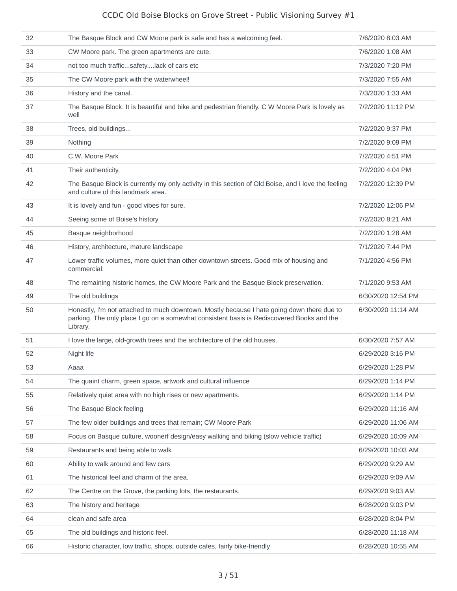| 32 | The Basque Block and CW Moore park is safe and has a welcoming feel.                                                                                                                                | 7/6/2020 8:03 AM   |
|----|-----------------------------------------------------------------------------------------------------------------------------------------------------------------------------------------------------|--------------------|
| 33 | CW Moore park. The green apartments are cute.                                                                                                                                                       | 7/6/2020 1:08 AM   |
| 34 | not too much trafficsafetylack of cars etc                                                                                                                                                          | 7/3/2020 7:20 PM   |
| 35 | The CW Moore park with the waterwheel!                                                                                                                                                              | 7/3/2020 7:55 AM   |
| 36 | History and the canal.                                                                                                                                                                              | 7/3/2020 1:33 AM   |
| 37 | The Basque Block. It is beautiful and bike and pedestrian friendly. C W Moore Park is lovely as<br>well                                                                                             | 7/2/2020 11:12 PM  |
| 38 | Trees, old buildings                                                                                                                                                                                | 7/2/2020 9:37 PM   |
| 39 | Nothing                                                                                                                                                                                             | 7/2/2020 9:09 PM   |
| 40 | C.W. Moore Park                                                                                                                                                                                     | 7/2/2020 4:51 PM   |
| 41 | Their authenticity.                                                                                                                                                                                 | 7/2/2020 4:04 PM   |
| 42 | The Basque Block is currently my only activity in this section of Old Boise, and I love the feeling<br>and culture of this landmark area.                                                           | 7/2/2020 12:39 PM  |
| 43 | It is lovely and fun - good vibes for sure.                                                                                                                                                         | 7/2/2020 12:06 PM  |
| 44 | Seeing some of Boise's history                                                                                                                                                                      | 7/2/2020 8:21 AM   |
| 45 | Basque neighborhood                                                                                                                                                                                 | 7/2/2020 1:28 AM   |
| 46 | History, architecture, mature landscape                                                                                                                                                             | 7/1/2020 7:44 PM   |
| 47 | Lower traffic volumes, more quiet than other downtown streets. Good mix of housing and<br>commercial.                                                                                               | 7/1/2020 4:56 PM   |
| 48 | The remaining historic homes, the CW Moore Park and the Basque Block preservation.                                                                                                                  | 7/1/2020 9:53 AM   |
| 49 | The old buildings                                                                                                                                                                                   | 6/30/2020 12:54 PM |
| 50 | Honestly, I'm not attached to much downtown. Mostly because I hate going down there due to<br>parking. The only place I go on a somewhat consistent basis is Rediscovered Books and the<br>Library. | 6/30/2020 11:14 AM |
| 51 | I love the large, old-growth trees and the architecture of the old houses.                                                                                                                          | 6/30/2020 7:57 AM  |
| 52 | Night life                                                                                                                                                                                          | 6/29/2020 3:16 PM  |
| 53 | Aaaa                                                                                                                                                                                                | 6/29/2020 1:28 PM  |
| 54 | The quaint charm, green space, artwork and cultural influence                                                                                                                                       | 6/29/2020 1:14 PM  |
| 55 | Relatively quiet area with no high rises or new apartments.                                                                                                                                         | 6/29/2020 1:14 PM  |
| 56 | The Basque Block feeling                                                                                                                                                                            | 6/29/2020 11:16 AM |
| 57 | The few older buildings and trees that remain; CW Moore Park                                                                                                                                        | 6/29/2020 11:06 AM |
| 58 | Focus on Basque culture, woonerf design/easy walking and biking (slow vehicle traffic)                                                                                                              | 6/29/2020 10:09 AM |
| 59 | Restaurants and being able to walk                                                                                                                                                                  | 6/29/2020 10:03 AM |
| 60 | Ability to walk around and few cars                                                                                                                                                                 | 6/29/2020 9:29 AM  |
| 61 | The historical feel and charm of the area.                                                                                                                                                          | 6/29/2020 9:09 AM  |
| 62 | The Centre on the Grove, the parking lots, the restaurants.                                                                                                                                         | 6/29/2020 9:03 AM  |
| 63 | The history and heritage                                                                                                                                                                            | 6/28/2020 9:03 PM  |
| 64 | clean and safe area                                                                                                                                                                                 | 6/28/2020 8:04 PM  |
| 65 | The old buildings and historic feel.                                                                                                                                                                | 6/28/2020 11:18 AM |
| 66 | Historic character, low traffic, shops, outside cafes, fairly bike-friendly                                                                                                                         | 6/28/2020 10:55 AM |
|    |                                                                                                                                                                                                     |                    |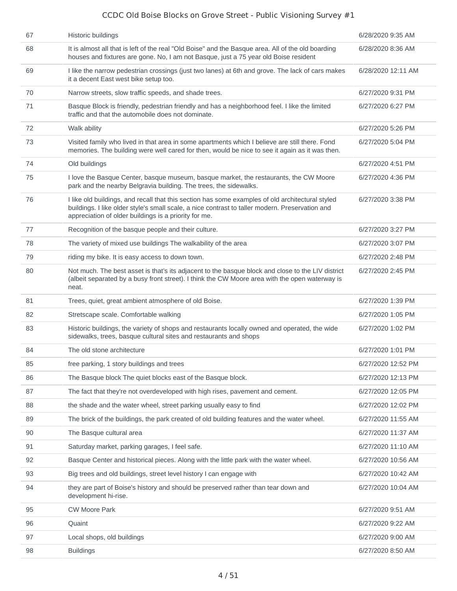| 67 | Historic buildings                                                                                                                                                                                                                                           | 6/28/2020 9:35 AM  |
|----|--------------------------------------------------------------------------------------------------------------------------------------------------------------------------------------------------------------------------------------------------------------|--------------------|
| 68 | It is almost all that is left of the real "Old Boise" and the Basque area. All of the old boarding<br>houses and fixtures are gone. No, I am not Basque, just a 75 year old Boise resident                                                                   | 6/28/2020 8:36 AM  |
| 69 | I like the narrow pedestrian crossings (just two lanes) at 6th and grove. The lack of cars makes<br>it a decent East west bike setup too.                                                                                                                    | 6/28/2020 12:11 AM |
| 70 | Narrow streets, slow traffic speeds, and shade trees.                                                                                                                                                                                                        | 6/27/2020 9:31 PM  |
| 71 | Basque Block is friendly, pedestrian friendly and has a neighborhood feel. I like the limited<br>traffic and that the automobile does not dominate.                                                                                                          | 6/27/2020 6:27 PM  |
| 72 | Walk ability                                                                                                                                                                                                                                                 | 6/27/2020 5:26 PM  |
| 73 | Visited family who lived in that area in some apartments which I believe are still there. Fond<br>memories. The building were well cared for then, would be nice to see it again as it was then.                                                             | 6/27/2020 5:04 PM  |
| 74 | Old buildings                                                                                                                                                                                                                                                | 6/27/2020 4:51 PM  |
| 75 | I love the Basque Center, basque museum, basque market, the restaurants, the CW Moore<br>park and the nearby Belgravia building. The trees, the sidewalks.                                                                                                   | 6/27/2020 4:36 PM  |
| 76 | I like old buildings, and recall that this section has some examples of old architectural styled<br>buildings. I like older style's small scale, a nice contrast to taller modern. Preservation and<br>appreciation of older buildings is a priority for me. | 6/27/2020 3:38 PM  |
| 77 | Recognition of the basque people and their culture.                                                                                                                                                                                                          | 6/27/2020 3:27 PM  |
| 78 | The variety of mixed use buildings The walkability of the area                                                                                                                                                                                               | 6/27/2020 3:07 PM  |
| 79 | riding my bike. It is easy access to down town.                                                                                                                                                                                                              | 6/27/2020 2:48 PM  |
| 80 | Not much. The best asset is that's its adjacent to the basque block and close to the LIV district<br>(albeit separated by a busy front street). I think the CW Moore area with the open waterway is<br>neat.                                                 | 6/27/2020 2:45 PM  |
| 81 | Trees, quiet, great ambient atmosphere of old Boise.                                                                                                                                                                                                         | 6/27/2020 1:39 PM  |
| 82 | Stretscape scale. Comfortable walking                                                                                                                                                                                                                        | 6/27/2020 1:05 PM  |
| 83 | Historic buildings, the variety of shops and restaurants locally owned and operated, the wide<br>sidewalks, trees, basque cultural sites and restaurants and shops                                                                                           | 6/27/2020 1:02 PM  |
| 84 | The old stone architecture                                                                                                                                                                                                                                   | 6/27/2020 1:01 PM  |
| 85 | free parking, 1 story buildings and trees                                                                                                                                                                                                                    | 6/27/2020 12:52 PM |
| 86 | The Basque block The quiet blocks east of the Basque block.                                                                                                                                                                                                  | 6/27/2020 12:13 PM |
| 87 | The fact that they're not overdeveloped with high rises, pavement and cement.                                                                                                                                                                                | 6/27/2020 12:05 PM |
| 88 | the shade and the water wheel, street parking usually easy to find                                                                                                                                                                                           | 6/27/2020 12:02 PM |
| 89 | The brick of the buildings, the park created of old building features and the water wheel.                                                                                                                                                                   | 6/27/2020 11:55 AM |
| 90 | The Basque cultural area                                                                                                                                                                                                                                     | 6/27/2020 11:37 AM |
| 91 | Saturday market, parking garages, I feel safe.                                                                                                                                                                                                               | 6/27/2020 11:10 AM |
| 92 | Basque Center and historical pieces. Along with the little park with the water wheel.                                                                                                                                                                        | 6/27/2020 10:56 AM |
| 93 | Big trees and old buildings, street level history I can engage with                                                                                                                                                                                          | 6/27/2020 10:42 AM |
| 94 | they are part of Boise's history and should be preserved rather than tear down and<br>development hi-rise.                                                                                                                                                   | 6/27/2020 10:04 AM |
| 95 | <b>CW Moore Park</b>                                                                                                                                                                                                                                         | 6/27/2020 9:51 AM  |
| 96 | Quaint                                                                                                                                                                                                                                                       | 6/27/2020 9:22 AM  |
| 97 | Local shops, old buildings                                                                                                                                                                                                                                   | 6/27/2020 9:00 AM  |
| 98 | <b>Buildings</b>                                                                                                                                                                                                                                             | 6/27/2020 8:50 AM  |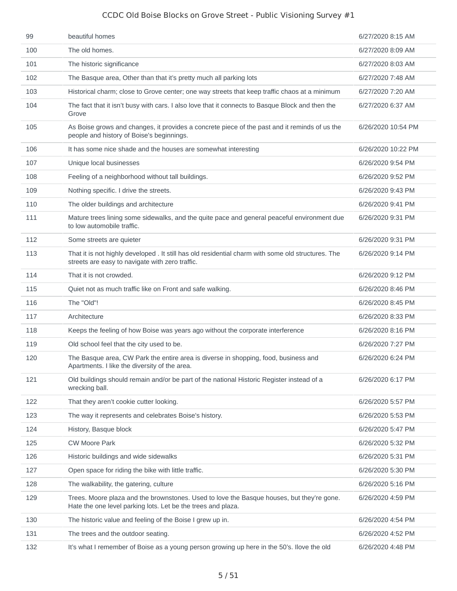| 99  | beautiful homes                                                                                                                                           | 6/27/2020 8:15 AM  |
|-----|-----------------------------------------------------------------------------------------------------------------------------------------------------------|--------------------|
| 100 | The old homes.                                                                                                                                            | 6/27/2020 8:09 AM  |
| 101 | The historic significance                                                                                                                                 | 6/27/2020 8:03 AM  |
| 102 | The Basque area, Other than that it's pretty much all parking lots                                                                                        | 6/27/2020 7:48 AM  |
| 103 | Historical charm; close to Grove center; one way streets that keep traffic chaos at a minimum                                                             | 6/27/2020 7:20 AM  |
| 104 | The fact that it isn't busy with cars. I also love that it connects to Basque Block and then the<br>Grove                                                 | 6/27/2020 6:37 AM  |
| 105 | As Boise grows and changes, it provides a concrete piece of the past and it reminds of us the<br>people and history of Boise's beginnings.                | 6/26/2020 10:54 PM |
| 106 | It has some nice shade and the houses are somewhat interesting                                                                                            | 6/26/2020 10:22 PM |
| 107 | Unique local businesses                                                                                                                                   | 6/26/2020 9:54 PM  |
| 108 | Feeling of a neighborhood without tall buildings.                                                                                                         | 6/26/2020 9:52 PM  |
| 109 | Nothing specific. I drive the streets.                                                                                                                    | 6/26/2020 9:43 PM  |
| 110 | The older buildings and architecture                                                                                                                      | 6/26/2020 9:41 PM  |
| 111 | Mature trees lining some sidewalks, and the quite pace and general peaceful environment due<br>to low automobile traffic.                                 | 6/26/2020 9:31 PM  |
| 112 | Some streets are quieter                                                                                                                                  | 6/26/2020 9:31 PM  |
| 113 | That it is not highly developed . It still has old residential charm with some old structures. The<br>streets are easy to navigate with zero traffic.     | 6/26/2020 9:14 PM  |
| 114 | That it is not crowded.                                                                                                                                   | 6/26/2020 9:12 PM  |
| 115 | Quiet not as much traffic like on Front and safe walking.                                                                                                 | 6/26/2020 8:46 PM  |
| 116 | The "Old"!                                                                                                                                                | 6/26/2020 8:45 PM  |
| 117 | Architecture                                                                                                                                              | 6/26/2020 8:33 PM  |
| 118 | Keeps the feeling of how Boise was years ago without the corporate interference                                                                           | 6/26/2020 8:16 PM  |
| 119 | Old school feel that the city used to be.                                                                                                                 | 6/26/2020 7:27 PM  |
| 120 | The Basque area, CW Park the entire area is diverse in shopping, food, business and<br>Apartments. I like the diversity of the area.                      | 6/26/2020 6:24 PM  |
| 121 | Old buildings should remain and/or be part of the national Historic Register instead of a<br>wrecking ball.                                               | 6/26/2020 6:17 PM  |
| 122 | That they aren't cookie cutter looking.                                                                                                                   | 6/26/2020 5:57 PM  |
| 123 | The way it represents and celebrates Boise's history.                                                                                                     | 6/26/2020 5:53 PM  |
| 124 | History, Basque block                                                                                                                                     | 6/26/2020 5:47 PM  |
| 125 | CW Moore Park                                                                                                                                             | 6/26/2020 5:32 PM  |
| 126 | Historic buildings and wide sidewalks                                                                                                                     | 6/26/2020 5:31 PM  |
| 127 | Open space for riding the bike with little traffic.                                                                                                       | 6/26/2020 5:30 PM  |
| 128 | The walkability, the gatering, culture                                                                                                                    | 6/26/2020 5:16 PM  |
| 129 | Trees. Moore plaza and the brownstones. Used to love the Basque houses, but they're gone.<br>Hate the one level parking lots. Let be the trees and plaza. | 6/26/2020 4:59 PM  |
| 130 | The historic value and feeling of the Boise I grew up in.                                                                                                 | 6/26/2020 4:54 PM  |
| 131 | The trees and the outdoor seating.                                                                                                                        | 6/26/2020 4:52 PM  |
| 132 | It's what I remember of Boise as a young person growing up here in the 50's. Ilove the old                                                                | 6/26/2020 4:48 PM  |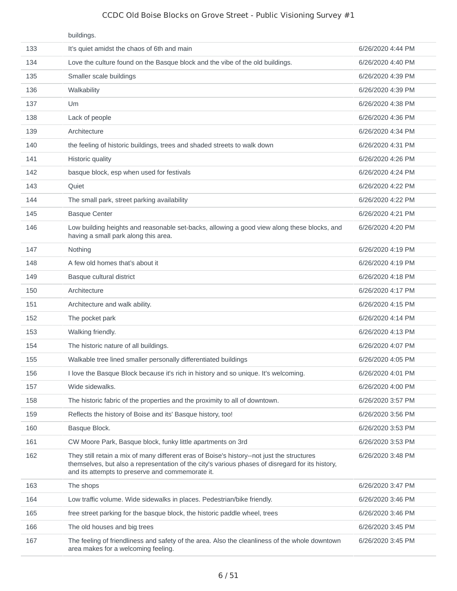|     | buildings.                                                                                                                                                                                                                                         |                   |
|-----|----------------------------------------------------------------------------------------------------------------------------------------------------------------------------------------------------------------------------------------------------|-------------------|
| 133 | It's quiet amidst the chaos of 6th and main                                                                                                                                                                                                        | 6/26/2020 4:44 PM |
| 134 | Love the culture found on the Basque block and the vibe of the old buildings.                                                                                                                                                                      | 6/26/2020 4:40 PM |
| 135 | Smaller scale buildings                                                                                                                                                                                                                            | 6/26/2020 4:39 PM |
| 136 | Walkability                                                                                                                                                                                                                                        | 6/26/2020 4:39 PM |
| 137 | Um                                                                                                                                                                                                                                                 | 6/26/2020 4:38 PM |
| 138 | Lack of people                                                                                                                                                                                                                                     | 6/26/2020 4:36 PM |
| 139 | Architecture                                                                                                                                                                                                                                       | 6/26/2020 4:34 PM |
| 140 | the feeling of historic buildings, trees and shaded streets to walk down                                                                                                                                                                           | 6/26/2020 4:31 PM |
| 141 | <b>Historic quality</b>                                                                                                                                                                                                                            | 6/26/2020 4:26 PM |
| 142 | basque block, esp when used for festivals                                                                                                                                                                                                          | 6/26/2020 4:24 PM |
| 143 | Quiet                                                                                                                                                                                                                                              | 6/26/2020 4:22 PM |
| 144 | The small park, street parking availability                                                                                                                                                                                                        | 6/26/2020 4:22 PM |
| 145 | <b>Basque Center</b>                                                                                                                                                                                                                               | 6/26/2020 4:21 PM |
| 146 | Low building heights and reasonable set-backs, allowing a good view along these blocks, and<br>having a small park along this area.                                                                                                                | 6/26/2020 4:20 PM |
| 147 | Nothing                                                                                                                                                                                                                                            | 6/26/2020 4:19 PM |
| 148 | A few old homes that's about it                                                                                                                                                                                                                    | 6/26/2020 4:19 PM |
| 149 | Basque cultural district                                                                                                                                                                                                                           | 6/26/2020 4:18 PM |
| 150 | Architecture                                                                                                                                                                                                                                       | 6/26/2020 4:17 PM |
| 151 | Architecture and walk ability.                                                                                                                                                                                                                     | 6/26/2020 4:15 PM |
| 152 | The pocket park                                                                                                                                                                                                                                    | 6/26/2020 4:14 PM |
| 153 | Walking friendly.                                                                                                                                                                                                                                  | 6/26/2020 4:13 PM |
| 154 | The historic nature of all buildings.                                                                                                                                                                                                              | 6/26/2020 4:07 PM |
| 155 | Walkable tree lined smaller personally differentiated buildings                                                                                                                                                                                    | 6/26/2020 4:05 PM |
| 156 | I love the Basque Block because it's rich in history and so unique. It's welcoming.                                                                                                                                                                | 6/26/2020 4:01 PM |
| 157 | Wide sidewalks.                                                                                                                                                                                                                                    | 6/26/2020 4:00 PM |
| 158 | The historic fabric of the properties and the proximity to all of downtown.                                                                                                                                                                        | 6/26/2020 3:57 PM |
| 159 | Reflects the history of Boise and its' Basque history, too!                                                                                                                                                                                        | 6/26/2020 3:56 PM |
| 160 | Basque Block.                                                                                                                                                                                                                                      | 6/26/2020 3:53 PM |
| 161 | CW Moore Park, Basque block, funky little apartments on 3rd                                                                                                                                                                                        | 6/26/2020 3:53 PM |
| 162 | They still retain a mix of many different eras of Boise's history--not just the structures<br>themselves, but also a representation of the city's various phases of disregard for its history,<br>and its attempts to preserve and commemorate it. | 6/26/2020 3:48 PM |
| 163 | The shops                                                                                                                                                                                                                                          | 6/26/2020 3:47 PM |
| 164 | Low traffic volume. Wide sidewalks in places. Pedestrian/bike friendly.                                                                                                                                                                            | 6/26/2020 3:46 PM |
| 165 | free street parking for the basque block, the historic paddle wheel, trees                                                                                                                                                                         | 6/26/2020 3:46 PM |
| 166 | The old houses and big trees                                                                                                                                                                                                                       | 6/26/2020 3:45 PM |
| 167 | The feeling of friendliness and safety of the area. Also the cleanliness of the whole downtown<br>area makes for a welcoming feeling.                                                                                                              | 6/26/2020 3:45 PM |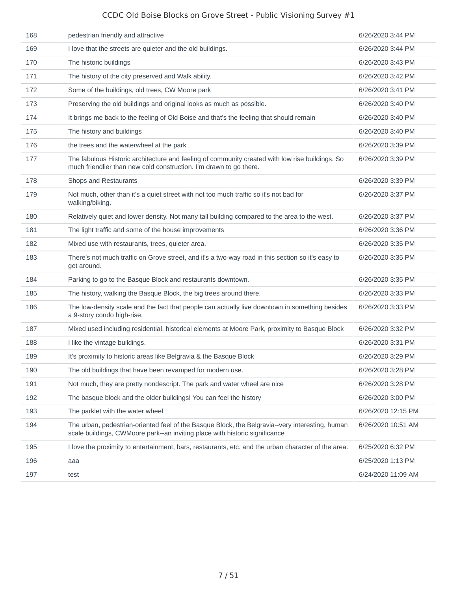| 168 | pedestrian friendly and attractive                                                                                                                                             | 6/26/2020 3:44 PM  |
|-----|--------------------------------------------------------------------------------------------------------------------------------------------------------------------------------|--------------------|
| 169 | I love that the streets are quieter and the old buildings.                                                                                                                     | 6/26/2020 3:44 PM  |
| 170 | The historic buildings                                                                                                                                                         | 6/26/2020 3:43 PM  |
| 171 | The history of the city preserved and Walk ability.                                                                                                                            | 6/26/2020 3:42 PM  |
| 172 | Some of the buildings, old trees, CW Moore park                                                                                                                                | 6/26/2020 3:41 PM  |
| 173 | Preserving the old buildings and original looks as much as possible.                                                                                                           | 6/26/2020 3:40 PM  |
| 174 | It brings me back to the feeling of Old Boise and that's the feeling that should remain                                                                                        | 6/26/2020 3:40 PM  |
| 175 | The history and buildings                                                                                                                                                      | 6/26/2020 3:40 PM  |
| 176 | the trees and the waterwheel at the park                                                                                                                                       | 6/26/2020 3:39 PM  |
| 177 | The fabulous Historic architecture and feeling of community created with low rise buildings. So<br>much friendlier than new cold construction. I'm drawn to go there.          | 6/26/2020 3:39 PM  |
| 178 | Shops and Restaurants                                                                                                                                                          | 6/26/2020 3:39 PM  |
| 179 | Not much, other than it's a quiet street with not too much traffic so it's not bad for<br>walking/biking.                                                                      | 6/26/2020 3:37 PM  |
| 180 | Relatively quiet and lower density. Not many tall building compared to the area to the west.                                                                                   | 6/26/2020 3:37 PM  |
| 181 | The light traffic and some of the house improvements                                                                                                                           | 6/26/2020 3:36 PM  |
| 182 | Mixed use with restaurants, trees, quieter area.                                                                                                                               | 6/26/2020 3:35 PM  |
| 183 | There's not much traffic on Grove street, and it's a two-way road in this section so it's easy to<br>get around.                                                               | 6/26/2020 3:35 PM  |
| 184 | Parking to go to the Basque Block and restaurants downtown.                                                                                                                    | 6/26/2020 3:35 PM  |
| 185 | The history, walking the Basque Block, the big trees around there.                                                                                                             | 6/26/2020 3:33 PM  |
| 186 | The low-density scale and the fact that people can actually live downtown in something besides<br>a 9-story condo high-rise.                                                   | 6/26/2020 3:33 PM  |
| 187 | Mixed used including residential, historical elements at Moore Park, proximity to Basque Block                                                                                 | 6/26/2020 3:32 PM  |
| 188 | I like the vintage buildings.                                                                                                                                                  | 6/26/2020 3:31 PM  |
| 189 | It's proximity to historic areas like Belgravia & the Basque Block                                                                                                             | 6/26/2020 3:29 PM  |
| 190 | The old buildings that have been revamped for modern use.                                                                                                                      | 6/26/2020 3:28 PM  |
| 191 | Not much, they are pretty nondescript. The park and water wheel are nice                                                                                                       | 6/26/2020 3:28 PM  |
| 192 | The basque block and the older buildings! You can feel the history                                                                                                             | 6/26/2020 3:00 PM  |
| 193 | The parklet with the water wheel                                                                                                                                               | 6/26/2020 12:15 PM |
| 194 | The urban, pedestrian-oriented feel of the Basque Block, the Belgravia--very interesting, human<br>scale buildings, CWMoore park--an inviting place with historic significance | 6/26/2020 10:51 AM |
| 195 | I love the proximity to entertainment, bars, restaurants, etc. and the urban character of the area.                                                                            | 6/25/2020 6:32 PM  |
| 196 | aaa                                                                                                                                                                            | 6/25/2020 1:13 PM  |
| 197 | test                                                                                                                                                                           | 6/24/2020 11:09 AM |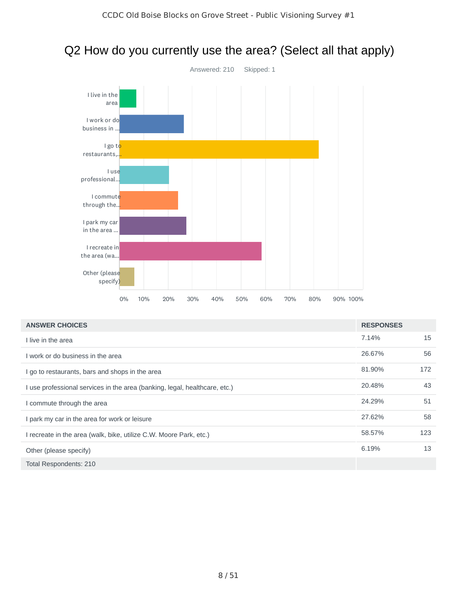

## Q2 How do you currently use the area? (Select all that apply)

| <b>ANSWER CHOICES</b>                                                      | <b>RESPONSES</b> |     |
|----------------------------------------------------------------------------|------------------|-----|
| I live in the area                                                         | 7.14%            | 15  |
| I work or do business in the area                                          | 26.67%           | 56  |
| I go to restaurants, bars and shops in the area                            | 81.90%           | 172 |
| I use professional services in the area (banking, legal, healthcare, etc.) | 20.48%           | 43  |
| I commute through the area                                                 | 24.29%           | 51  |
| I park my car in the area for work or leisure                              | 27.62%           | 58  |
| I recreate in the area (walk, bike, utilize C.W. Moore Park, etc.)         | 58.57%           | 123 |
| Other (please specify)                                                     | 6.19%            | 13  |
| Total Respondents: 210                                                     |                  |     |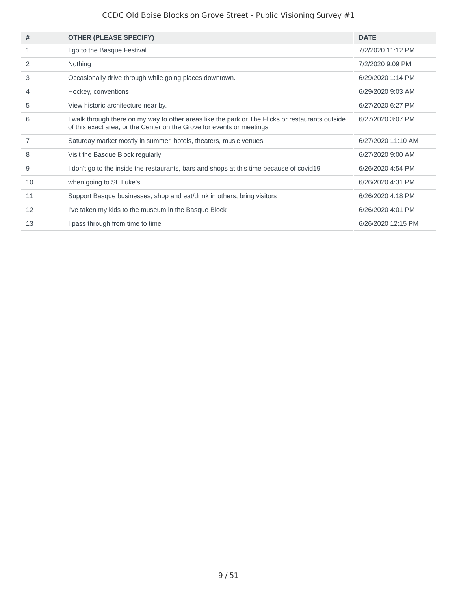| #  | <b>OTHER (PLEASE SPECIFY)</b>                                                                                                                                             | <b>DATE</b>        |
|----|---------------------------------------------------------------------------------------------------------------------------------------------------------------------------|--------------------|
| 1  | I go to the Basque Festival                                                                                                                                               | 7/2/2020 11:12 PM  |
| 2  | Nothing                                                                                                                                                                   | 7/2/2020 9:09 PM   |
| 3  | Occasionally drive through while going places downtown.                                                                                                                   | 6/29/2020 1:14 PM  |
| 4  | Hockey, conventions                                                                                                                                                       | 6/29/2020 9:03 AM  |
| 5  | View historic architecture near by.                                                                                                                                       | 6/27/2020 6:27 PM  |
| 6  | I walk through there on my way to other areas like the park or The Flicks or restaurants outside<br>of this exact area, or the Center on the Grove for events or meetings | 6/27/2020 3:07 PM  |
| 7  | Saturday market mostly in summer, hotels, theaters, music venues.,                                                                                                        | 6/27/2020 11:10 AM |
| 8  | Visit the Basque Block regularly                                                                                                                                          | 6/27/2020 9:00 AM  |
| 9  | I don't go to the inside the restaurants, bars and shops at this time because of covid19                                                                                  | 6/26/2020 4:54 PM  |
| 10 | when going to St. Luke's                                                                                                                                                  | 6/26/2020 4:31 PM  |
| 11 | Support Basque businesses, shop and eat/drink in others, bring visitors                                                                                                   | 6/26/2020 4:18 PM  |
| 12 | I've taken my kids to the museum in the Basque Block                                                                                                                      | 6/26/2020 4:01 PM  |
| 13 | I pass through from time to time                                                                                                                                          | 6/26/2020 12:15 PM |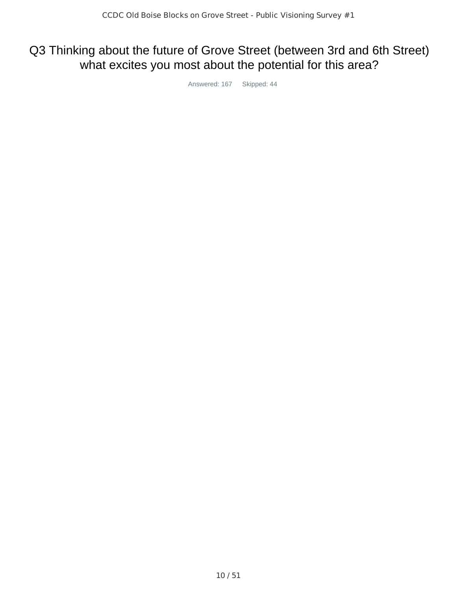## Q3 Thinking about the future of Grove Street (between 3rd and 6th Street) what excites you most about the potential for this area?

Answered: 167 Skipped: 44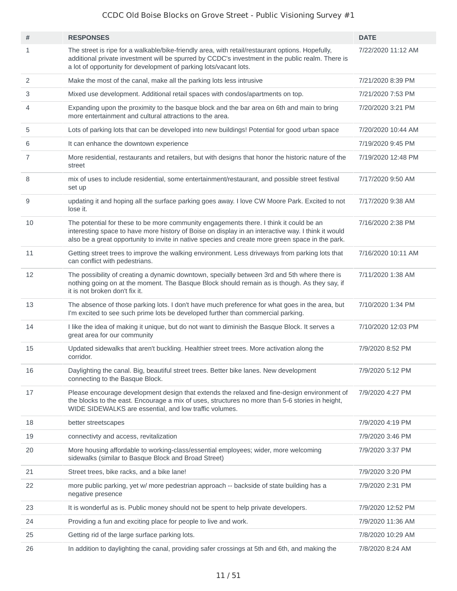| #              | <b>RESPONSES</b>                                                                                                                                                                                                                                                                                 | <b>DATE</b>        |
|----------------|--------------------------------------------------------------------------------------------------------------------------------------------------------------------------------------------------------------------------------------------------------------------------------------------------|--------------------|
| $\mathbf{1}$   | The street is ripe for a walkable/bike-friendly area, with retail/restaurant options. Hopefully,<br>additional private investment will be spurred by CCDC's investment in the public realm. There is<br>a lot of opportunity for development of parking lots/vacant lots.                        | 7/22/2020 11:12 AM |
| 2              | Make the most of the canal, make all the parking lots less intrusive                                                                                                                                                                                                                             | 7/21/2020 8:39 PM  |
| 3              | Mixed use development. Additional retail spaces with condos/apartments on top.                                                                                                                                                                                                                   | 7/21/2020 7:53 PM  |
| 4              | Expanding upon the proximity to the basque block and the bar area on 6th and main to bring<br>more entertainment and cultural attractions to the area.                                                                                                                                           | 7/20/2020 3:21 PM  |
| 5              | Lots of parking lots that can be developed into new buildings! Potential for good urban space                                                                                                                                                                                                    | 7/20/2020 10:44 AM |
| 6              | It can enhance the downtown experience                                                                                                                                                                                                                                                           | 7/19/2020 9:45 PM  |
| $\overline{7}$ | More residential, restaurants and retailers, but with designs that honor the historic nature of the<br>street                                                                                                                                                                                    | 7/19/2020 12:48 PM |
| 8              | mix of uses to include residential, some entertainment/restaurant, and possible street festival<br>set up                                                                                                                                                                                        | 7/17/2020 9:50 AM  |
| 9              | updating it and hoping all the surface parking goes away. I love CW Moore Park. Excited to not<br>lose it.                                                                                                                                                                                       | 7/17/2020 9:38 AM  |
| 10             | The potential for these to be more community engagements there. I think it could be an<br>interesting space to have more history of Boise on display in an interactive way. I think it would<br>also be a great opportunity to invite in native species and create more green space in the park. | 7/16/2020 2:38 PM  |
| 11             | Getting street trees to improve the walking environment. Less driveways from parking lots that<br>can conflict with pedestrians.                                                                                                                                                                 | 7/16/2020 10:11 AM |
| 12             | The possibility of creating a dynamic downtown, specially between 3rd and 5th where there is<br>nothing going on at the moment. The Basque Block should remain as is though. As they say, if<br>it is not broken don't fix it.                                                                   | 7/11/2020 1:38 AM  |
| 13             | The absence of those parking lots. I don't have much preference for what goes in the area, but<br>I'm excited to see such prime lots be developed further than commercial parking.                                                                                                               | 7/10/2020 1:34 PM  |
| 14             | I like the idea of making it unique, but do not want to diminish the Basque Block. It serves a<br>great area for our community                                                                                                                                                                   | 7/10/2020 12:03 PM |
| 15             | Updated sidewalks that aren't buckling. Healthier street trees. More activation along the<br>corridor.                                                                                                                                                                                           | 7/9/2020 8:52 PM   |
| 16             | Daylighting the canal. Big, beautiful street trees. Better bike lanes. New development<br>connecting to the Basque Block.                                                                                                                                                                        | 7/9/2020 5:12 PM   |
| 17             | Please encourage development design that extends the relaxed and fine-design environment of<br>the blocks to the east. Encourage a mix of uses, structures no more than 5-6 stories in height,<br>WIDE SIDEWALKS are essential, and low traffic volumes.                                         | 7/9/2020 4:27 PM   |
| 18             | better streetscapes                                                                                                                                                                                                                                                                              | 7/9/2020 4:19 PM   |
| 19             | connectivty and access, revitalization                                                                                                                                                                                                                                                           | 7/9/2020 3:46 PM   |
| 20             | More housing affordable to working-class/essential employees; wider, more welcoming<br>sidewalks (similar to Basque Block and Broad Street)                                                                                                                                                      | 7/9/2020 3:37 PM   |
| 21             | Street trees, bike racks, and a bike lane!                                                                                                                                                                                                                                                       | 7/9/2020 3:20 PM   |
| 22             | more public parking, yet w/ more pedestrian approach -- backside of state building has a<br>negative presence                                                                                                                                                                                    | 7/9/2020 2:31 PM   |
| 23             | It is wonderful as is. Public money should not be spent to help private developers.                                                                                                                                                                                                              | 7/9/2020 12:52 PM  |
| 24             | Providing a fun and exciting place for people to live and work.                                                                                                                                                                                                                                  | 7/9/2020 11:36 AM  |
| 25             | Getting rid of the large surface parking lots.                                                                                                                                                                                                                                                   | 7/8/2020 10:29 AM  |
| 26             | In addition to daylighting the canal, providing safer crossings at 5th and 6th, and making the                                                                                                                                                                                                   | 7/8/2020 8:24 AM   |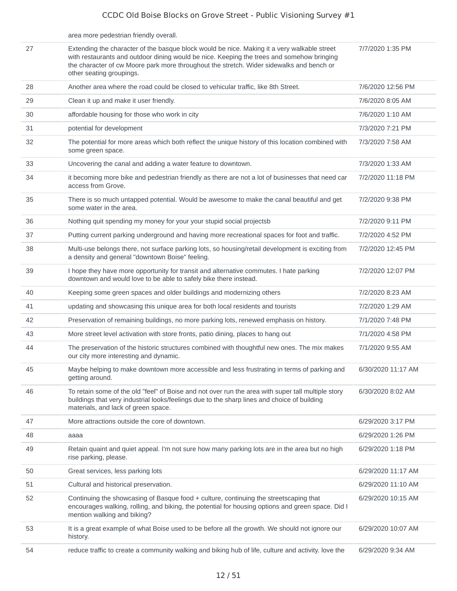|    | area more pedestrian friendly overall.                                                                                                                                                                                                                                                                           |                    |
|----|------------------------------------------------------------------------------------------------------------------------------------------------------------------------------------------------------------------------------------------------------------------------------------------------------------------|--------------------|
| 27 | Extending the character of the basque block would be nice. Making it a very walkable street<br>with restaurants and outdoor dining would be nice. Keeping the trees and somehow bringing<br>the character of cw Moore park more throughout the stretch. Wider sidewalks and bench or<br>other seating groupings. | 7/7/2020 1:35 PM   |
| 28 | Another area where the road could be closed to vehicular traffic, like 8th Street.                                                                                                                                                                                                                               | 7/6/2020 12:56 PM  |
| 29 | Clean it up and make it user friendly.                                                                                                                                                                                                                                                                           | 7/6/2020 8:05 AM   |
| 30 | affordable housing for those who work in city                                                                                                                                                                                                                                                                    | 7/6/2020 1:10 AM   |
| 31 | potential for development                                                                                                                                                                                                                                                                                        | 7/3/2020 7:21 PM   |
| 32 | The potential for more areas which both reflect the unique history of this location combined with<br>some green space.                                                                                                                                                                                           | 7/3/2020 7:58 AM   |
| 33 | Uncovering the canal and adding a water feature to downtown.                                                                                                                                                                                                                                                     | 7/3/2020 1:33 AM   |
| 34 | it becoming more bike and pedestrian friendly as there are not a lot of businesses that need car<br>access from Grove.                                                                                                                                                                                           | 7/2/2020 11:18 PM  |
| 35 | There is so much untapped potential. Would be awesome to make the canal beautiful and get<br>some water in the area.                                                                                                                                                                                             | 7/2/2020 9:38 PM   |
| 36 | Nothing quit spending my money for your your stupid social projectsb                                                                                                                                                                                                                                             | 7/2/2020 9:11 PM   |
| 37 | Putting current parking underground and having more recreational spaces for foot and traffic.                                                                                                                                                                                                                    | 7/2/2020 4:52 PM   |
| 38 | Multi-use belongs there, not surface parking lots, so housing/retail development is exciting from<br>a density and general "downtown Boise" feeling.                                                                                                                                                             | 7/2/2020 12:45 PM  |
| 39 | I hope they have more opportunity for transit and alternative commutes. I hate parking<br>downtown and would love to be able to safely bike there instead.                                                                                                                                                       | 7/2/2020 12:07 PM  |
| 40 | Keeping some green spaces and older buildings and modernizing others                                                                                                                                                                                                                                             | 7/2/2020 8:23 AM   |
| 41 | updating and showcasing this unique area for both local residents and tourists                                                                                                                                                                                                                                   | 7/2/2020 1:29 AM   |
| 42 | Preservation of remaining buildings, no more parking lots, renewed emphasis on history.                                                                                                                                                                                                                          | 7/1/2020 7:48 PM   |
| 43 | More street level activation with store fronts, patio dining, places to hang out                                                                                                                                                                                                                                 | 7/1/2020 4:58 PM   |
| 44 | The preservation of the historic structures combined with thoughtful new ones. The mix makes<br>our city more interesting and dynamic.                                                                                                                                                                           | 7/1/2020 9:55 AM   |
| 45 | Maybe helping to make downtown more accessible and less frustrating in terms of parking and<br>getting around.                                                                                                                                                                                                   | 6/30/2020 11:17 AM |
| 46 | To retain some of the old "feel" of Boise and not over run the area with super tall multiple story<br>buildings that very industrial looks/feelings due to the sharp lines and choice of building<br>materials, and lack of green space.                                                                         | 6/30/2020 8:02 AM  |
| 47 | More attractions outside the core of downtown.                                                                                                                                                                                                                                                                   | 6/29/2020 3:17 PM  |
| 48 | aaaa                                                                                                                                                                                                                                                                                                             | 6/29/2020 1:26 PM  |
| 49 | Retain quaint and quiet appeal. I'm not sure how many parking lots are in the area but no high<br>rise parking, please.                                                                                                                                                                                          | 6/29/2020 1:18 PM  |
| 50 | Great services, less parking lots                                                                                                                                                                                                                                                                                | 6/29/2020 11:17 AM |
| 51 | Cultural and historical preservation.                                                                                                                                                                                                                                                                            | 6/29/2020 11:10 AM |
| 52 | Continuing the showcasing of Basque food + culture, continuing the streetscaping that<br>encourages walking, rolling, and biking, the potential for housing options and green space. Did I<br>mention walking and biking?                                                                                        | 6/29/2020 10:15 AM |
| 53 | It is a great example of what Boise used to be before all the growth. We should not ignore our<br>history.                                                                                                                                                                                                       | 6/29/2020 10:07 AM |
| 54 | reduce traffic to create a community walking and biking hub of life, culture and activity. love the                                                                                                                                                                                                              | 6/29/2020 9:34 AM  |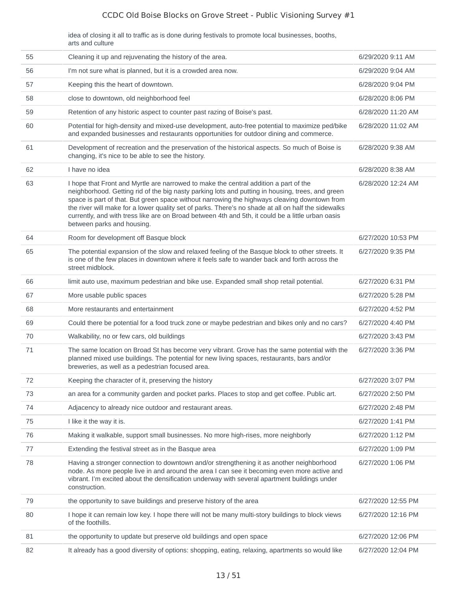idea of closing it all to traffic as is done during festivals to promote local businesses, booths, arts and culture

| 55 | Cleaning it up and rejuvenating the history of the area.                                                                                                                                                                                                                                                                                                                                                                                                                                                                           | 6/29/2020 9:11 AM  |
|----|------------------------------------------------------------------------------------------------------------------------------------------------------------------------------------------------------------------------------------------------------------------------------------------------------------------------------------------------------------------------------------------------------------------------------------------------------------------------------------------------------------------------------------|--------------------|
| 56 | I'm not sure what is planned, but it is a crowded area now.                                                                                                                                                                                                                                                                                                                                                                                                                                                                        | 6/29/2020 9:04 AM  |
| 57 | Keeping this the heart of downtown.                                                                                                                                                                                                                                                                                                                                                                                                                                                                                                | 6/28/2020 9:04 PM  |
| 58 | close to downtown, old neighborhood feel                                                                                                                                                                                                                                                                                                                                                                                                                                                                                           | 6/28/2020 8:06 PM  |
| 59 | Retention of any historic aspect to counter past razing of Boise's past.                                                                                                                                                                                                                                                                                                                                                                                                                                                           | 6/28/2020 11:20 AM |
| 60 | Potential for high-density and mixed-use development, auto-free potential to maximize ped/bike<br>and expanded businesses and restaurants opportunities for outdoor dining and commerce.                                                                                                                                                                                                                                                                                                                                           | 6/28/2020 11:02 AM |
| 61 | Development of recreation and the preservation of the historical aspects. So much of Boise is<br>changing, it's nice to be able to see the history.                                                                                                                                                                                                                                                                                                                                                                                | 6/28/2020 9:38 AM  |
| 62 | I have no idea                                                                                                                                                                                                                                                                                                                                                                                                                                                                                                                     | 6/28/2020 8:38 AM  |
| 63 | I hope that Front and Myrtle are narrowed to make the central addition a part of the<br>neighborhood. Getting rid of the big nasty parking lots and putting in housing, trees, and green<br>space is part of that. But green space without narrowing the highways cleaving downtown from<br>the river will make for a lower quality set of parks. There's no shade at all on half the sidewalks<br>currently, and with tress like are on Broad between 4th and 5th, it could be a little urban oasis<br>between parks and housing. | 6/28/2020 12:24 AM |
| 64 | Room for development off Basque block                                                                                                                                                                                                                                                                                                                                                                                                                                                                                              | 6/27/2020 10:53 PM |
| 65 | The potential expansion of the slow and relaxed feeling of the Basque block to other streets. It<br>is one of the few places in downtown where it feels safe to wander back and forth across the<br>street midblock.                                                                                                                                                                                                                                                                                                               | 6/27/2020 9:35 PM  |
| 66 | limit auto use, maximum pedestrian and bike use. Expanded small shop retail potential.                                                                                                                                                                                                                                                                                                                                                                                                                                             | 6/27/2020 6:31 PM  |
| 67 | More usable public spaces                                                                                                                                                                                                                                                                                                                                                                                                                                                                                                          | 6/27/2020 5:28 PM  |
| 68 | More restaurants and entertainment                                                                                                                                                                                                                                                                                                                                                                                                                                                                                                 | 6/27/2020 4:52 PM  |
| 69 | Could there be potential for a food truck zone or maybe pedestrian and bikes only and no cars?                                                                                                                                                                                                                                                                                                                                                                                                                                     | 6/27/2020 4:40 PM  |
| 70 | Walkability, no or few cars, old buildings                                                                                                                                                                                                                                                                                                                                                                                                                                                                                         | 6/27/2020 3:43 PM  |
| 71 | The same location on Broad St has become very vibrant. Grove has the same potential with the<br>planned mixed use buildings. The potential for new living spaces, restaurants, bars and/or<br>breweries, as well as a pedestrian focused area.                                                                                                                                                                                                                                                                                     | 6/27/2020 3:36 PM  |
| 72 | Keeping the character of it, preserving the history                                                                                                                                                                                                                                                                                                                                                                                                                                                                                | 6/27/2020 3:07 PM  |
| 73 | an area for a community garden and pocket parks. Places to stop and get coffee. Public art.                                                                                                                                                                                                                                                                                                                                                                                                                                        | 6/27/2020 2:50 PM  |
| 74 | Adjacency to already nice outdoor and restaurant areas.                                                                                                                                                                                                                                                                                                                                                                                                                                                                            | 6/27/2020 2:48 PM  |
| 75 | I like it the way it is.                                                                                                                                                                                                                                                                                                                                                                                                                                                                                                           | 6/27/2020 1:41 PM  |
| 76 | Making it walkable, support small businesses. No more high-rises, more neighborly                                                                                                                                                                                                                                                                                                                                                                                                                                                  | 6/27/2020 1:12 PM  |
| 77 | Extending the festival street as in the Basque area                                                                                                                                                                                                                                                                                                                                                                                                                                                                                | 6/27/2020 1:09 PM  |
| 78 | Having a stronger connection to downtown and/or strengthening it as another neighborhood<br>node. As more people live in and around the area I can see it becoming even more active and<br>vibrant. I'm excited about the densification underway with several apartment buildings under<br>construction.                                                                                                                                                                                                                           | 6/27/2020 1:06 PM  |
| 79 | the opportunity to save buildings and preserve history of the area                                                                                                                                                                                                                                                                                                                                                                                                                                                                 | 6/27/2020 12:55 PM |
| 80 | I hope it can remain low key. I hope there will not be many multi-story buildings to block views<br>of the foothills.                                                                                                                                                                                                                                                                                                                                                                                                              | 6/27/2020 12:16 PM |
| 81 | the opportunity to update but preserve old buildings and open space                                                                                                                                                                                                                                                                                                                                                                                                                                                                | 6/27/2020 12:06 PM |
| 82 | It already has a good diversity of options: shopping, eating, relaxing, apartments so would like                                                                                                                                                                                                                                                                                                                                                                                                                                   | 6/27/2020 12:04 PM |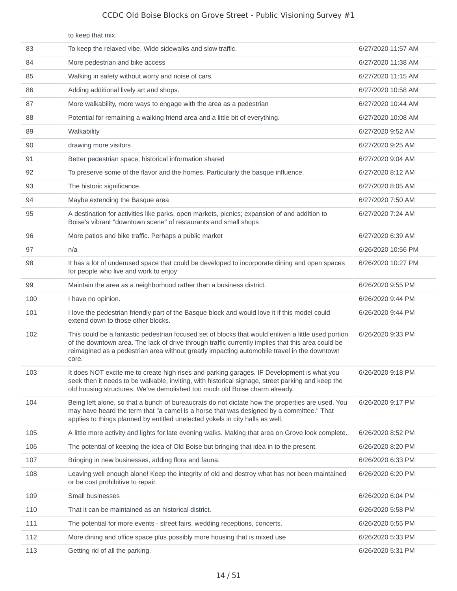|     | to keep that mix.                                                                                                                                                                                                                                                                                                |                    |
|-----|------------------------------------------------------------------------------------------------------------------------------------------------------------------------------------------------------------------------------------------------------------------------------------------------------------------|--------------------|
| 83  | To keep the relaxed vibe. Wide sidewalks and slow traffic.                                                                                                                                                                                                                                                       | 6/27/2020 11:57 AM |
| 84  | More pedestrian and bike access                                                                                                                                                                                                                                                                                  | 6/27/2020 11:38 AM |
| 85  | Walking in safety without worry and noise of cars.                                                                                                                                                                                                                                                               | 6/27/2020 11:15 AM |
| 86  | Adding additional lively art and shops.                                                                                                                                                                                                                                                                          | 6/27/2020 10:58 AM |
| 87  | More walkability, more ways to engage with the area as a pedestrian                                                                                                                                                                                                                                              | 6/27/2020 10:44 AM |
| 88  | Potential for remaining a walking friend area and a little bit of everything.                                                                                                                                                                                                                                    | 6/27/2020 10:08 AM |
| 89  | Walkability                                                                                                                                                                                                                                                                                                      | 6/27/2020 9:52 AM  |
| 90  | drawing more visitors                                                                                                                                                                                                                                                                                            | 6/27/2020 9:25 AM  |
| 91  | Better pedestrian space, historical information shared                                                                                                                                                                                                                                                           | 6/27/2020 9:04 AM  |
| 92  | To preserve some of the flavor and the homes. Particularly the basque influence.                                                                                                                                                                                                                                 | 6/27/2020 8:12 AM  |
| 93  | The historic significance.                                                                                                                                                                                                                                                                                       | 6/27/2020 8:05 AM  |
| 94  | Maybe extending the Basque area                                                                                                                                                                                                                                                                                  | 6/27/2020 7:50 AM  |
| 95  | A destination for activities like parks, open markets, picnics; expansion of and addition to<br>Boise's vibrant "downtown scene" of restaurants and small shops                                                                                                                                                  | 6/27/2020 7:24 AM  |
| 96  | More patios and bike traffic. Perhaps a public market                                                                                                                                                                                                                                                            | 6/27/2020 6:39 AM  |
| 97  | n/a                                                                                                                                                                                                                                                                                                              | 6/26/2020 10:56 PM |
| 98  | It has a lot of underused space that could be developed to incorporate dining and open spaces<br>for people who live and work to enjoy                                                                                                                                                                           | 6/26/2020 10:27 PM |
| 99  | Maintain the area as a neighborhood rather than a business district.                                                                                                                                                                                                                                             | 6/26/2020 9:55 PM  |
| 100 | I have no opinion.                                                                                                                                                                                                                                                                                               | 6/26/2020 9:44 PM  |
| 101 | I love the pedestrian friendly part of the Basque block and would love it if this model could<br>extend down to those other blocks.                                                                                                                                                                              | 6/26/2020 9:44 PM  |
| 102 | This could be a fantastic pedestrian focused set of blocks that would enliven a little used portion<br>of the downtown area. The lack of drive through traffic currently implies that this area could be<br>reimagined as a pedestrian area without greatly impacting automobile travel in the downtown<br>core. | 6/26/2020 9:33 PM  |
| 103 | It does NOT excite me to create high rises and parking garages. IF Development is what you<br>seek then it needs to be walkable, inviting, with historical signage, street parking and keep the<br>old housing structures. We've demolished too much old Boise charm already.                                    | 6/26/2020 9:18 PM  |
| 104 | Being left alone, so that a bunch of bureaucrats do not dictate how the properties are used. You<br>may have heard the term that "a camel is a horse that was designed by a committee." That<br>applies to things planned by entitled unelected yokels in city halls as well.                                    | 6/26/2020 9:17 PM  |
| 105 | A little more activity and lights for late evening walks. Making that area on Grove look complete.                                                                                                                                                                                                               | 6/26/2020 8:52 PM  |
| 106 | The potential of keeping the idea of Old Boise but bringing that idea in to the present.                                                                                                                                                                                                                         | 6/26/2020 8:20 PM  |
| 107 | Bringing in new businesses, adding flora and fauna.                                                                                                                                                                                                                                                              | 6/26/2020 6:33 PM  |
| 108 | Leaving well enough alone! Keep the integrity of old and destroy what has not been maintained<br>or be cost prohibitive to repair.                                                                                                                                                                               | 6/26/2020 6:20 PM  |
| 109 | Small businesses                                                                                                                                                                                                                                                                                                 | 6/26/2020 6:04 PM  |
| 110 | That it can be maintained as an historical district.                                                                                                                                                                                                                                                             | 6/26/2020 5:58 PM  |
| 111 | The potential for more events - street fairs, wedding receptions, concerts.                                                                                                                                                                                                                                      | 6/26/2020 5:55 PM  |
| 112 | More dining and office space plus possibly more housing that is mixed use                                                                                                                                                                                                                                        | 6/26/2020 5:33 PM  |
| 113 | Getting rid of all the parking.                                                                                                                                                                                                                                                                                  | 6/26/2020 5:31 PM  |
|     |                                                                                                                                                                                                                                                                                                                  |                    |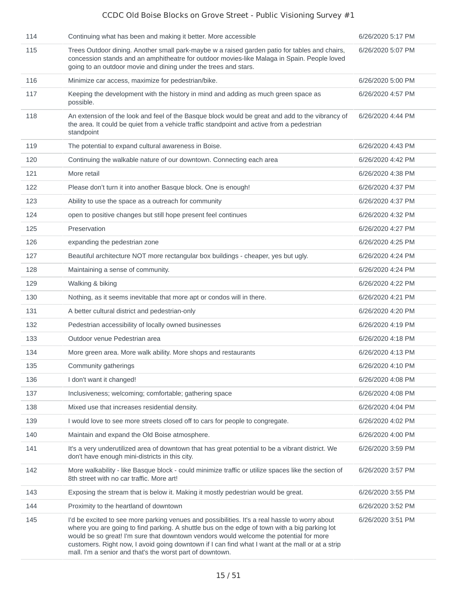| 114 | Continuing what has been and making it better. More accessible                                                                                                                                                                                                                                                                                                                                                                                             | 6/26/2020 5:17 PM |
|-----|------------------------------------------------------------------------------------------------------------------------------------------------------------------------------------------------------------------------------------------------------------------------------------------------------------------------------------------------------------------------------------------------------------------------------------------------------------|-------------------|
| 115 | Trees Outdoor dining. Another small park-maybe w a raised garden patio for tables and chairs,<br>concession stands and an amphitheatre for outdoor movies-like Malaga in Spain. People loved<br>going to an outdoor movie and dining under the trees and stars.                                                                                                                                                                                            | 6/26/2020 5:07 PM |
| 116 | Minimize car access, maximize for pedestrian/bike.                                                                                                                                                                                                                                                                                                                                                                                                         | 6/26/2020 5:00 PM |
| 117 | Keeping the development with the history in mind and adding as much green space as<br>possible.                                                                                                                                                                                                                                                                                                                                                            | 6/26/2020 4:57 PM |
| 118 | An extension of the look and feel of the Basque block would be great and add to the vibrancy of<br>the area. It could be quiet from a vehicle traffic standpoint and active from a pedestrian<br>standpoint                                                                                                                                                                                                                                                | 6/26/2020 4:44 PM |
| 119 | The potential to expand cultural awareness in Boise.                                                                                                                                                                                                                                                                                                                                                                                                       | 6/26/2020 4:43 PM |
| 120 | Continuing the walkable nature of our downtown. Connecting each area                                                                                                                                                                                                                                                                                                                                                                                       | 6/26/2020 4:42 PM |
| 121 | More retail                                                                                                                                                                                                                                                                                                                                                                                                                                                | 6/26/2020 4:38 PM |
| 122 | Please don't turn it into another Basque block. One is enough!                                                                                                                                                                                                                                                                                                                                                                                             | 6/26/2020 4:37 PM |
| 123 | Ability to use the space as a outreach for community                                                                                                                                                                                                                                                                                                                                                                                                       | 6/26/2020 4:37 PM |
| 124 | open to positive changes but still hope present feel continues                                                                                                                                                                                                                                                                                                                                                                                             | 6/26/2020 4:32 PM |
| 125 | Preservation                                                                                                                                                                                                                                                                                                                                                                                                                                               | 6/26/2020 4:27 PM |
| 126 | expanding the pedestrian zone                                                                                                                                                                                                                                                                                                                                                                                                                              | 6/26/2020 4:25 PM |
| 127 | Beautiful architecture NOT more rectangular box buildings - cheaper, yes but ugly.                                                                                                                                                                                                                                                                                                                                                                         | 6/26/2020 4:24 PM |
| 128 | Maintaining a sense of community.                                                                                                                                                                                                                                                                                                                                                                                                                          | 6/26/2020 4:24 PM |
| 129 | Walking & biking                                                                                                                                                                                                                                                                                                                                                                                                                                           | 6/26/2020 4:22 PM |
| 130 | Nothing, as it seems inevitable that more apt or condos will in there.                                                                                                                                                                                                                                                                                                                                                                                     | 6/26/2020 4:21 PM |
| 131 | A better cultural district and pedestrian-only                                                                                                                                                                                                                                                                                                                                                                                                             | 6/26/2020 4:20 PM |
| 132 | Pedestrian accessibility of locally owned businesses                                                                                                                                                                                                                                                                                                                                                                                                       | 6/26/2020 4:19 PM |
| 133 | Outdoor venue Pedestrian area                                                                                                                                                                                                                                                                                                                                                                                                                              | 6/26/2020 4:18 PM |
| 134 | More green area. More walk ability. More shops and restaurants                                                                                                                                                                                                                                                                                                                                                                                             | 6/26/2020 4:13 PM |
| 135 | Community gatherings                                                                                                                                                                                                                                                                                                                                                                                                                                       | 6/26/2020 4:10 PM |
| 136 | I don't want it changed!                                                                                                                                                                                                                                                                                                                                                                                                                                   | 6/26/2020 4:08 PM |
| 137 | Inclusiveness; welcoming; comfortable; gathering space                                                                                                                                                                                                                                                                                                                                                                                                     | 6/26/2020 4:08 PM |
| 138 | Mixed use that increases residential density.                                                                                                                                                                                                                                                                                                                                                                                                              | 6/26/2020 4:04 PM |
| 139 | I would love to see more streets closed off to cars for people to congregate.                                                                                                                                                                                                                                                                                                                                                                              | 6/26/2020 4:02 PM |
| 140 | Maintain and expand the Old Boise atmosphere.                                                                                                                                                                                                                                                                                                                                                                                                              | 6/26/2020 4:00 PM |
| 141 | It's a very underutilized area of downtown that has great potential to be a vibrant district. We<br>don't have enough mini-districts in this city.                                                                                                                                                                                                                                                                                                         | 6/26/2020 3:59 PM |
| 142 | More walkability - like Basque block - could minimize traffic or utilize spaces like the section of<br>8th street with no car traffic. More art!                                                                                                                                                                                                                                                                                                           | 6/26/2020 3:57 PM |
| 143 | Exposing the stream that is below it. Making it mostly pedestrian would be great.                                                                                                                                                                                                                                                                                                                                                                          | 6/26/2020 3:55 PM |
| 144 | Proximity to the heartland of downtown                                                                                                                                                                                                                                                                                                                                                                                                                     | 6/26/2020 3:52 PM |
| 145 | I'd be excited to see more parking venues and possibilities. It's a real hassle to worry about<br>where you are going to find parking. A shuttle bus on the edge of town with a big parking lot<br>would be so great! I'm sure that downtown vendors would welcome the potential for more<br>customers. Right now, I avoid going downtown if I can find what I want at the mall or at a strip<br>mall. I'm a senior and that's the worst part of downtown. | 6/26/2020 3:51 PM |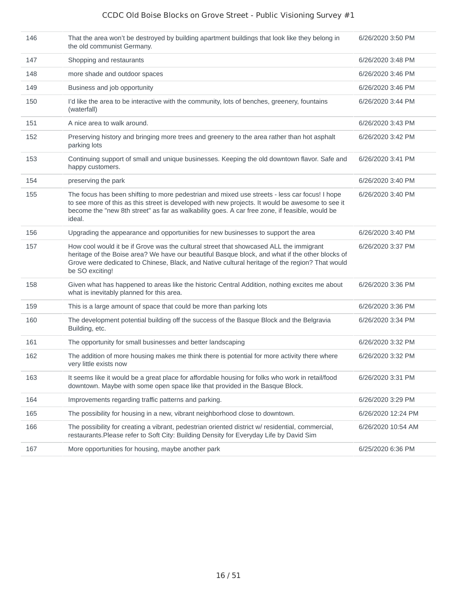| 146 | That the area won't be destroyed by building apartment buildings that look like they belong in<br>the old communist Germany.                                                                                                                                                                                   | 6/26/2020 3:50 PM  |
|-----|----------------------------------------------------------------------------------------------------------------------------------------------------------------------------------------------------------------------------------------------------------------------------------------------------------------|--------------------|
| 147 | Shopping and restaurants                                                                                                                                                                                                                                                                                       | 6/26/2020 3:48 PM  |
| 148 | more shade and outdoor spaces                                                                                                                                                                                                                                                                                  | 6/26/2020 3:46 PM  |
| 149 | Business and job opportunity                                                                                                                                                                                                                                                                                   | 6/26/2020 3:46 PM  |
| 150 | I'd like the area to be interactive with the community, lots of benches, greenery, fountains<br>(waterfall)                                                                                                                                                                                                    | 6/26/2020 3:44 PM  |
| 151 | A nice area to walk around.                                                                                                                                                                                                                                                                                    | 6/26/2020 3:43 PM  |
| 152 | Preserving history and bringing more trees and greenery to the area rather than hot asphalt<br>parking lots                                                                                                                                                                                                    | 6/26/2020 3:42 PM  |
| 153 | Continuing support of small and unique businesses. Keeping the old downtown flavor. Safe and<br>happy customers.                                                                                                                                                                                               | 6/26/2020 3:41 PM  |
| 154 | preserving the park                                                                                                                                                                                                                                                                                            | 6/26/2020 3:40 PM  |
| 155 | The focus has been shifting to more pedestrian and mixed use streets - less car focus! I hope<br>to see more of this as this street is developed with new projects. It would be awesome to see it<br>become the "new 8th street" as far as walkability goes. A car free zone, if feasible, would be<br>ideal.  | 6/26/2020 3:40 PM  |
| 156 | Upgrading the appearance and opportunities for new businesses to support the area                                                                                                                                                                                                                              | 6/26/2020 3:40 PM  |
| 157 | How cool would it be if Grove was the cultural street that showcased ALL the immigrant<br>heritage of the Boise area? We have our beautiful Basque block, and what if the other blocks of<br>Grove were dedicated to Chinese, Black, and Native cultural heritage of the region? That would<br>be SO exciting! | 6/26/2020 3:37 PM  |
| 158 | Given what has happened to areas like the historic Central Addition, nothing excites me about<br>what is inevitably planned for this area.                                                                                                                                                                     | 6/26/2020 3:36 PM  |
| 159 | This is a large amount of space that could be more than parking lots                                                                                                                                                                                                                                           | 6/26/2020 3:36 PM  |
| 160 | The development potential building off the success of the Basque Block and the Belgravia<br>Building, etc.                                                                                                                                                                                                     | 6/26/2020 3:34 PM  |
| 161 | The opportunity for small businesses and better landscaping                                                                                                                                                                                                                                                    | 6/26/2020 3:32 PM  |
| 162 | The addition of more housing makes me think there is potential for more activity there where<br>very little exists now                                                                                                                                                                                         | 6/26/2020 3:32 PM  |
| 163 | It seems like it would be a great place for affordable housing for folks who work in retail/food<br>downtown. Maybe with some open space like that provided in the Basque Block.                                                                                                                               | 6/26/2020 3:31 PM  |
| 164 | Improvements regarding traffic patterns and parking.                                                                                                                                                                                                                                                           | 6/26/2020 3:29 PM  |
| 165 | The possibility for housing in a new, vibrant neighborhood close to downtown.                                                                                                                                                                                                                                  | 6/26/2020 12:24 PM |
| 166 | The possibility for creating a vibrant, pedestrian oriented district w/ residential, commercial,<br>restaurants. Please refer to Soft City: Building Density for Everyday Life by David Sim                                                                                                                    | 6/26/2020 10:54 AM |
| 167 | More opportunities for housing, maybe another park                                                                                                                                                                                                                                                             | 6/25/2020 6:36 PM  |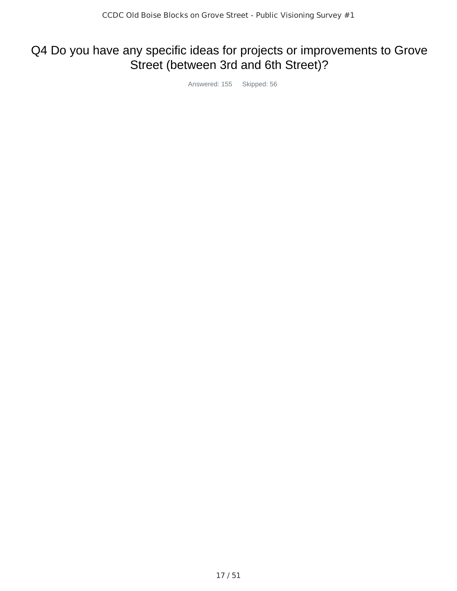# Q4 Do you have any specific ideas for projects or improvements to Grove Street (between 3rd and 6th Street)?

Answered: 155 Skipped: 56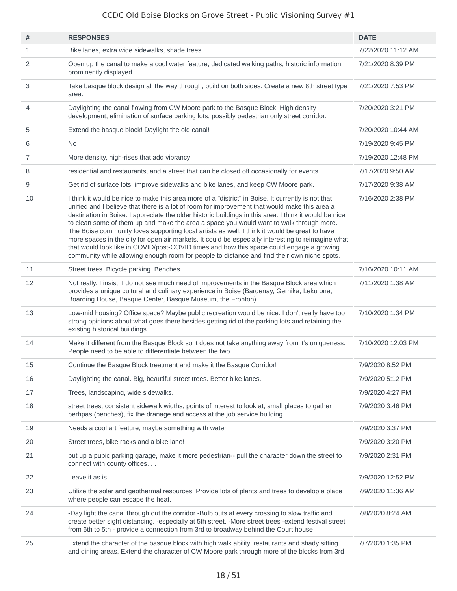| #              | <b>RESPONSES</b>                                                                                                                                                                                                                                                                                                                                                                                                                                                                                                                                                                                                                                                                                                                                                                                           | <b>DATE</b>        |
|----------------|------------------------------------------------------------------------------------------------------------------------------------------------------------------------------------------------------------------------------------------------------------------------------------------------------------------------------------------------------------------------------------------------------------------------------------------------------------------------------------------------------------------------------------------------------------------------------------------------------------------------------------------------------------------------------------------------------------------------------------------------------------------------------------------------------------|--------------------|
| 1              | Bike lanes, extra wide sidewalks, shade trees                                                                                                                                                                                                                                                                                                                                                                                                                                                                                                                                                                                                                                                                                                                                                              | 7/22/2020 11:12 AM |
| 2              | Open up the canal to make a cool water feature, dedicated walking paths, historic information<br>prominently displayed                                                                                                                                                                                                                                                                                                                                                                                                                                                                                                                                                                                                                                                                                     | 7/21/2020 8:39 PM  |
| 3              | Take basque block design all the way through, build on both sides. Create a new 8th street type<br>area.                                                                                                                                                                                                                                                                                                                                                                                                                                                                                                                                                                                                                                                                                                   | 7/21/2020 7:53 PM  |
| 4              | Daylighting the canal flowing from CW Moore park to the Basque Block. High density<br>development, elimination of surface parking lots, possibly pedestrian only street corridor.                                                                                                                                                                                                                                                                                                                                                                                                                                                                                                                                                                                                                          | 7/20/2020 3:21 PM  |
| 5              | Extend the basque block! Daylight the old canal!                                                                                                                                                                                                                                                                                                                                                                                                                                                                                                                                                                                                                                                                                                                                                           | 7/20/2020 10:44 AM |
| 6              | No.                                                                                                                                                                                                                                                                                                                                                                                                                                                                                                                                                                                                                                                                                                                                                                                                        | 7/19/2020 9:45 PM  |
| $\overline{7}$ | More density, high-rises that add vibrancy                                                                                                                                                                                                                                                                                                                                                                                                                                                                                                                                                                                                                                                                                                                                                                 | 7/19/2020 12:48 PM |
| 8              | residential and restaurants, and a street that can be closed off occasionally for events.                                                                                                                                                                                                                                                                                                                                                                                                                                                                                                                                                                                                                                                                                                                  | 7/17/2020 9:50 AM  |
| 9              | Get rid of surface lots, improve sidewalks and bike lanes, and keep CW Moore park.                                                                                                                                                                                                                                                                                                                                                                                                                                                                                                                                                                                                                                                                                                                         | 7/17/2020 9:38 AM  |
| 10             | I think it would be nice to make this area more of a "district" in Boise. It currently is not that<br>unified and I believe that there is a lot of room for improvement that would make this area a<br>destination in Boise. I appreciate the older historic buildings in this area. I think it would be nice<br>to clean some of them up and make the area a space you would want to walk through more.<br>The Boise community loves supporting local artists as well, I think it would be great to have<br>more spaces in the city for open air markets. It could be especially interesting to reimagine what<br>that would look like in COVID/post-COVID times and how this space could engage a growing<br>community while allowing enough room for people to distance and find their own niche spots. | 7/16/2020 2:38 PM  |
| 11             | Street trees. Bicycle parking. Benches.                                                                                                                                                                                                                                                                                                                                                                                                                                                                                                                                                                                                                                                                                                                                                                    | 7/16/2020 10:11 AM |
| 12             | Not really. I insist, I do not see much need of improvements in the Basque Block area which<br>provides a unique cultural and culinary experience in Boise (Bardenay, Gernika, Leku ona,<br>Boarding House, Basque Center, Basque Museum, the Fronton).                                                                                                                                                                                                                                                                                                                                                                                                                                                                                                                                                    | 7/11/2020 1:38 AM  |
| 13             | Low-mid housing? Office space? Maybe public recreation would be nice. I don't really have too<br>strong opinions about what goes there besides getting rid of the parking lots and retaining the<br>existing historical buildings.                                                                                                                                                                                                                                                                                                                                                                                                                                                                                                                                                                         | 7/10/2020 1:34 PM  |
| 14             | Make it different from the Basque Block so it does not take anything away from it's uniqueness.<br>People need to be able to differentiate between the two                                                                                                                                                                                                                                                                                                                                                                                                                                                                                                                                                                                                                                                 | 7/10/2020 12:03 PM |
| 15             | Continue the Basque Block treatment and make it the Basque Corridor!                                                                                                                                                                                                                                                                                                                                                                                                                                                                                                                                                                                                                                                                                                                                       | 7/9/2020 8:52 PM   |
| 16             | Daylighting the canal. Big, beautiful street trees. Better bike lanes.                                                                                                                                                                                                                                                                                                                                                                                                                                                                                                                                                                                                                                                                                                                                     | 7/9/2020 5:12 PM   |
| 17             | Trees, landscaping, wide sidewalks.                                                                                                                                                                                                                                                                                                                                                                                                                                                                                                                                                                                                                                                                                                                                                                        | 7/9/2020 4:27 PM   |
| 18             | street trees, consistent sidewalk widths, points of interest to look at, small places to gather<br>perhpas (benches), fix the dranage and access at the job service building                                                                                                                                                                                                                                                                                                                                                                                                                                                                                                                                                                                                                               | 7/9/2020 3:46 PM   |
| 19             | Needs a cool art feature; maybe something with water.                                                                                                                                                                                                                                                                                                                                                                                                                                                                                                                                                                                                                                                                                                                                                      | 7/9/2020 3:37 PM   |
| 20             | Street trees, bike racks and a bike lane!                                                                                                                                                                                                                                                                                                                                                                                                                                                                                                                                                                                                                                                                                                                                                                  | 7/9/2020 3:20 PM   |
| 21             | put up a pubic parking garage, make it more pedestrian-- pull the character down the street to<br>connect with county offices.                                                                                                                                                                                                                                                                                                                                                                                                                                                                                                                                                                                                                                                                             | 7/9/2020 2:31 PM   |
| 22             | Leave it as is.                                                                                                                                                                                                                                                                                                                                                                                                                                                                                                                                                                                                                                                                                                                                                                                            | 7/9/2020 12:52 PM  |
| 23             | Utilize the solar and geothermal resources. Provide lots of plants and trees to develop a place<br>where people can escape the heat.                                                                                                                                                                                                                                                                                                                                                                                                                                                                                                                                                                                                                                                                       | 7/9/2020 11:36 AM  |
| 24             | -Day light the canal through out the corridor -Bulb outs at every crossing to slow traffic and<br>create better sight distancing. -especially at 5th street. -More street trees -extend festival street<br>from 6th to 5th - provide a connection from 3rd to broadway behind the Court house                                                                                                                                                                                                                                                                                                                                                                                                                                                                                                              | 7/8/2020 8:24 AM   |
| 25             | Extend the character of the basque block with high walk ability, restaurants and shady sitting<br>and dining areas. Extend the character of CW Moore park through more of the blocks from 3rd                                                                                                                                                                                                                                                                                                                                                                                                                                                                                                                                                                                                              | 7/7/2020 1:35 PM   |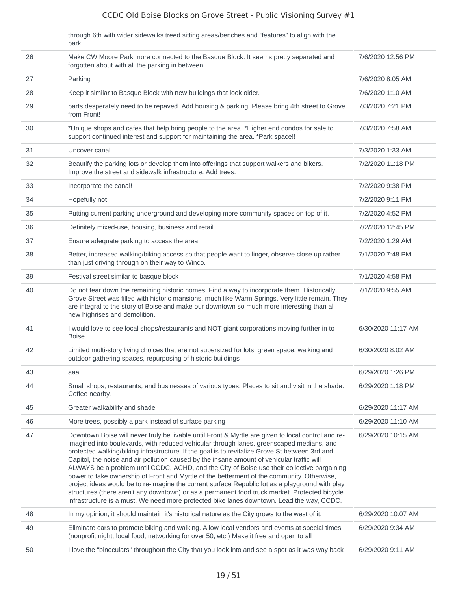through 6th with wider sidewalks treed sitting areas/benches and "features" to align with the park.

| 26 | Make CW Moore Park more connected to the Basque Block. It seems pretty separated and<br>forgotten about with all the parking in between.                                                                                                                                                                                                                                                                                                                                                                                                                                                                                                                                                                                                                                                                                                                                                     | 7/6/2020 12:56 PM  |
|----|----------------------------------------------------------------------------------------------------------------------------------------------------------------------------------------------------------------------------------------------------------------------------------------------------------------------------------------------------------------------------------------------------------------------------------------------------------------------------------------------------------------------------------------------------------------------------------------------------------------------------------------------------------------------------------------------------------------------------------------------------------------------------------------------------------------------------------------------------------------------------------------------|--------------------|
| 27 | Parking                                                                                                                                                                                                                                                                                                                                                                                                                                                                                                                                                                                                                                                                                                                                                                                                                                                                                      | 7/6/2020 8:05 AM   |
| 28 | Keep it similar to Basque Block with new buildings that look older.                                                                                                                                                                                                                                                                                                                                                                                                                                                                                                                                                                                                                                                                                                                                                                                                                          | 7/6/2020 1:10 AM   |
| 29 | parts desperately need to be repaved. Add housing & parking! Please bring 4th street to Grove<br>from Front!                                                                                                                                                                                                                                                                                                                                                                                                                                                                                                                                                                                                                                                                                                                                                                                 | 7/3/2020 7:21 PM   |
| 30 | *Unique shops and cafes that help bring people to the area. *Higher end condos for sale to<br>support continued interest and support for maintaining the area. *Park space!!                                                                                                                                                                                                                                                                                                                                                                                                                                                                                                                                                                                                                                                                                                                 | 7/3/2020 7:58 AM   |
| 31 | Uncover canal.                                                                                                                                                                                                                                                                                                                                                                                                                                                                                                                                                                                                                                                                                                                                                                                                                                                                               | 7/3/2020 1:33 AM   |
| 32 | Beautify the parking lots or develop them into offerings that support walkers and bikers.<br>Improve the street and sidewalk infrastructure. Add trees.                                                                                                                                                                                                                                                                                                                                                                                                                                                                                                                                                                                                                                                                                                                                      | 7/2/2020 11:18 PM  |
| 33 | Incorporate the canal!                                                                                                                                                                                                                                                                                                                                                                                                                                                                                                                                                                                                                                                                                                                                                                                                                                                                       | 7/2/2020 9:38 PM   |
| 34 | Hopefully not                                                                                                                                                                                                                                                                                                                                                                                                                                                                                                                                                                                                                                                                                                                                                                                                                                                                                | 7/2/2020 9:11 PM   |
| 35 | Putting current parking underground and developing more community spaces on top of it.                                                                                                                                                                                                                                                                                                                                                                                                                                                                                                                                                                                                                                                                                                                                                                                                       | 7/2/2020 4:52 PM   |
| 36 | Definitely mixed-use, housing, business and retail.                                                                                                                                                                                                                                                                                                                                                                                                                                                                                                                                                                                                                                                                                                                                                                                                                                          | 7/2/2020 12:45 PM  |
| 37 | Ensure adequate parking to access the area                                                                                                                                                                                                                                                                                                                                                                                                                                                                                                                                                                                                                                                                                                                                                                                                                                                   | 7/2/2020 1:29 AM   |
| 38 | Better, increased walking/biking access so that people want to linger, observe close up rather<br>than just driving through on their way to Winco.                                                                                                                                                                                                                                                                                                                                                                                                                                                                                                                                                                                                                                                                                                                                           | 7/1/2020 7:48 PM   |
| 39 | Festival street similar to basque block                                                                                                                                                                                                                                                                                                                                                                                                                                                                                                                                                                                                                                                                                                                                                                                                                                                      | 7/1/2020 4:58 PM   |
| 40 | Do not tear down the remaining historic homes. Find a way to incorporate them. Historically<br>Grove Street was filled with historic mansions, much like Warm Springs. Very little remain. They<br>are integral to the story of Boise and make our downtown so much more interesting than all<br>new highrises and demolition.                                                                                                                                                                                                                                                                                                                                                                                                                                                                                                                                                               | 7/1/2020 9:55 AM   |
| 41 | I would love to see local shops/restaurants and NOT giant corporations moving further in to<br>Boise.                                                                                                                                                                                                                                                                                                                                                                                                                                                                                                                                                                                                                                                                                                                                                                                        | 6/30/2020 11:17 AM |
| 42 | Limited multi-story living choices that are not supersized for lots, green space, walking and<br>outdoor gathering spaces, repurposing of historic buildings                                                                                                                                                                                                                                                                                                                                                                                                                                                                                                                                                                                                                                                                                                                                 | 6/30/2020 8:02 AM  |
| 43 | aaa                                                                                                                                                                                                                                                                                                                                                                                                                                                                                                                                                                                                                                                                                                                                                                                                                                                                                          | 6/29/2020 1:26 PM  |
| 44 | Small shops, restaurants, and businesses of various types. Places to sit and visit in the shade.<br>Coffee nearby.                                                                                                                                                                                                                                                                                                                                                                                                                                                                                                                                                                                                                                                                                                                                                                           | 6/29/2020 1:18 PM  |
| 45 | Greater walkability and shade                                                                                                                                                                                                                                                                                                                                                                                                                                                                                                                                                                                                                                                                                                                                                                                                                                                                | 6/29/2020 11:17 AM |
| 46 | More trees, possibly a park instead of surface parking                                                                                                                                                                                                                                                                                                                                                                                                                                                                                                                                                                                                                                                                                                                                                                                                                                       | 6/29/2020 11:10 AM |
| 47 | Downtown Boise will never truly be livable until Front & Myrtle are given to local control and re-<br>imagined into boulevards, with reduced vehicular through lanes, greenscaped medians, and<br>protected walking/biking infrastructure. If the goal is to revitalize Grove St between 3rd and<br>Capitol, the noise and air pollution caused by the insane amount of vehicular traffic will<br>ALWAYS be a problem until CCDC, ACHD, and the City of Boise use their collective bargaining<br>power to take ownership of Front and Myrtle of the betterment of the community. Otherwise,<br>project ideas would be to re-imagine the current surface Republic lot as a playground with play<br>structures (there aren't any downtown) or as a permanent food truck market. Protected bicycle<br>infrastructure is a must. We need more protected bike lanes downtown. Lead the way, CCDC. | 6/29/2020 10:15 AM |
| 48 | In my opinion, it should maintain it's historical nature as the City grows to the west of it.                                                                                                                                                                                                                                                                                                                                                                                                                                                                                                                                                                                                                                                                                                                                                                                                | 6/29/2020 10:07 AM |
| 49 | Eliminate cars to promote biking and walking. Allow local vendors and events at special times<br>(nonprofit night, local food, networking for over 50, etc.) Make it free and open to all                                                                                                                                                                                                                                                                                                                                                                                                                                                                                                                                                                                                                                                                                                    | 6/29/2020 9:34 AM  |
| 50 | I love the "binoculars" throughout the City that you look into and see a spot as it was way back                                                                                                                                                                                                                                                                                                                                                                                                                                                                                                                                                                                                                                                                                                                                                                                             | 6/29/2020 9:11 AM  |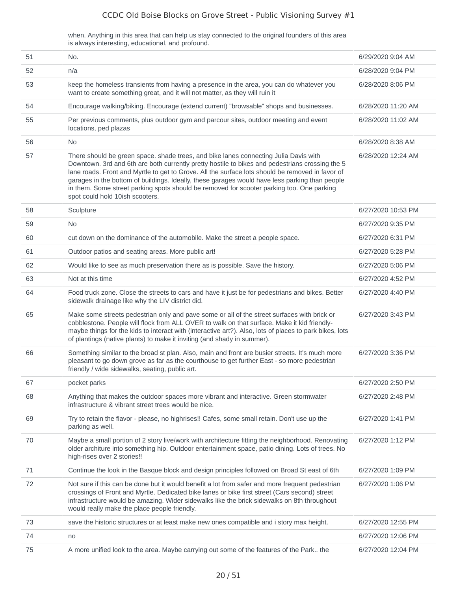when. Anything in this area that can help us stay connected to the original founders of this area is always interesting, educational, and profound.

| 51 | No.                                                                                                                                                                                                                                                                                                                                                                                                                                                                                                                           | 6/29/2020 9:04 AM  |
|----|-------------------------------------------------------------------------------------------------------------------------------------------------------------------------------------------------------------------------------------------------------------------------------------------------------------------------------------------------------------------------------------------------------------------------------------------------------------------------------------------------------------------------------|--------------------|
| 52 | n/a                                                                                                                                                                                                                                                                                                                                                                                                                                                                                                                           | 6/28/2020 9:04 PM  |
| 53 | keep the homeless transients from having a presence in the area, you can do whatever you<br>want to create something great, and it will not matter, as they will ruin it                                                                                                                                                                                                                                                                                                                                                      | 6/28/2020 8:06 PM  |
| 54 | Encourage walking/biking. Encourage (extend current) "browsable" shops and businesses.                                                                                                                                                                                                                                                                                                                                                                                                                                        | 6/28/2020 11:20 AM |
| 55 | Per previous comments, plus outdoor gym and parcour sites, outdoor meeting and event<br>locations, ped plazas                                                                                                                                                                                                                                                                                                                                                                                                                 | 6/28/2020 11:02 AM |
| 56 | <b>No</b>                                                                                                                                                                                                                                                                                                                                                                                                                                                                                                                     | 6/28/2020 8:38 AM  |
| 57 | There should be green space. shade trees, and bike lanes connecting Julia Davis with<br>Downtown. 3rd and 6th are both currently pretty hostile to bikes and pedestrians crossing the 5<br>lane roads. Front and Myrtle to get to Grove. All the surface lots should be removed in favor of<br>garages in the bottom of buildings. Ideally, these garages would have less parking than people<br>in them. Some street parking spots should be removed for scooter parking too. One parking<br>spot could hold 10ish scooters. | 6/28/2020 12:24 AM |
| 58 | Sculpture                                                                                                                                                                                                                                                                                                                                                                                                                                                                                                                     | 6/27/2020 10:53 PM |
| 59 | <b>No</b>                                                                                                                                                                                                                                                                                                                                                                                                                                                                                                                     | 6/27/2020 9:35 PM  |
| 60 | cut down on the dominance of the automobile. Make the street a people space.                                                                                                                                                                                                                                                                                                                                                                                                                                                  | 6/27/2020 6:31 PM  |
| 61 | Outdoor patios and seating areas. More public art!                                                                                                                                                                                                                                                                                                                                                                                                                                                                            | 6/27/2020 5:28 PM  |
| 62 | Would like to see as much preservation there as is possible. Save the history.                                                                                                                                                                                                                                                                                                                                                                                                                                                | 6/27/2020 5:06 PM  |
| 63 | Not at this time                                                                                                                                                                                                                                                                                                                                                                                                                                                                                                              | 6/27/2020 4:52 PM  |
| 64 | Food truck zone. Close the streets to cars and have it just be for pedestrians and bikes. Better<br>sidewalk drainage like why the LIV district did.                                                                                                                                                                                                                                                                                                                                                                          | 6/27/2020 4:40 PM  |
| 65 | Make some streets pedestrian only and pave some or all of the street surfaces with brick or<br>cobblestone. People will flock from ALL OVER to walk on that surface. Make it kid friendly-<br>maybe things for the kids to interact with (interactive art?). Also, lots of places to park bikes, lots<br>of plantings (native plants) to make it inviting (and shady in summer).                                                                                                                                              | 6/27/2020 3:43 PM  |
| 66 | Something similar to the broad st plan. Also, main and front are busier streets. It's much more<br>pleasant to go down grove as far as the courthouse to get further East - so more pedestrian<br>friendly / wide sidewalks, seating, public art.                                                                                                                                                                                                                                                                             | 6/27/2020 3:36 PM  |
| 67 | pocket parks                                                                                                                                                                                                                                                                                                                                                                                                                                                                                                                  | 6/27/2020 2:50 PM  |
| 68 | Anything that makes the outdoor spaces more vibrant and interactive. Green stormwater<br>infrastructure & vibrant street trees would be nice.                                                                                                                                                                                                                                                                                                                                                                                 | 6/27/2020 2:48 PM  |
| 69 | Try to retain the flavor - please, no highrises!! Cafes, some small retain. Don't use up the<br>parking as well.                                                                                                                                                                                                                                                                                                                                                                                                              | 6/27/2020 1:41 PM  |
| 70 | Maybe a small portion of 2 story live/work with architecture fitting the neighborhood. Renovating<br>older architure into something hip. Outdoor entertainment space, patio dining. Lots of trees. No<br>high-rises over 2 stories!!                                                                                                                                                                                                                                                                                          | 6/27/2020 1:12 PM  |
| 71 | Continue the look in the Basque block and design principles followed on Broad St east of 6th                                                                                                                                                                                                                                                                                                                                                                                                                                  | 6/27/2020 1:09 PM  |
| 72 | Not sure if this can be done but it would benefit a lot from safer and more frequent pedestrian<br>crossings of Front and Myrtle. Dedicated bike lanes or bike first street (Cars second) street<br>infrastructure would be amazing. Wider sidewalks like the brick sidewalks on 8th throughout<br>would really make the place people friendly.                                                                                                                                                                               | 6/27/2020 1:06 PM  |
| 73 | save the historic structures or at least make new ones compatible and i story max height.                                                                                                                                                                                                                                                                                                                                                                                                                                     | 6/27/2020 12:55 PM |
| 74 | no                                                                                                                                                                                                                                                                                                                                                                                                                                                                                                                            | 6/27/2020 12:06 PM |
| 75 | A more unified look to the area. Maybe carrying out some of the features of the Park the                                                                                                                                                                                                                                                                                                                                                                                                                                      | 6/27/2020 12:04 PM |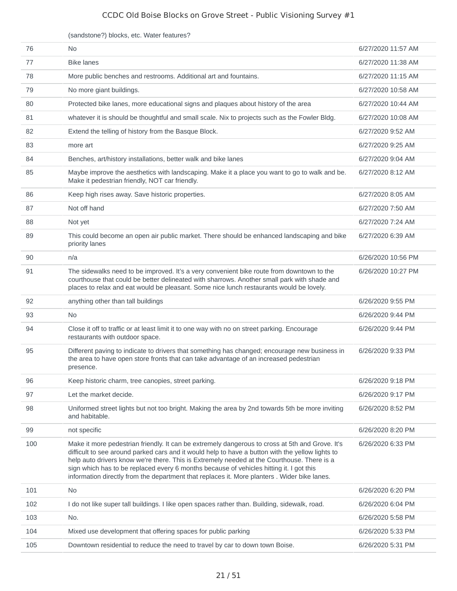| 76  | <b>No</b>                                                                                                                                                                                                                                                                                                                                                                                                                                                                                    | 6/27/2020 11:57 AM |
|-----|----------------------------------------------------------------------------------------------------------------------------------------------------------------------------------------------------------------------------------------------------------------------------------------------------------------------------------------------------------------------------------------------------------------------------------------------------------------------------------------------|--------------------|
| 77  | <b>Bike lanes</b>                                                                                                                                                                                                                                                                                                                                                                                                                                                                            | 6/27/2020 11:38 AM |
| 78  | More public benches and restrooms. Additional art and fountains.                                                                                                                                                                                                                                                                                                                                                                                                                             | 6/27/2020 11:15 AM |
| 79  | No more giant buildings.                                                                                                                                                                                                                                                                                                                                                                                                                                                                     | 6/27/2020 10:58 AM |
| 80  | Protected bike lanes, more educational signs and plaques about history of the area                                                                                                                                                                                                                                                                                                                                                                                                           | 6/27/2020 10:44 AM |
| 81  | whatever it is should be thoughtful and small scale. Nix to projects such as the Fowler Bldg.                                                                                                                                                                                                                                                                                                                                                                                                | 6/27/2020 10:08 AM |
| 82  | Extend the telling of history from the Basque Block.                                                                                                                                                                                                                                                                                                                                                                                                                                         | 6/27/2020 9:52 AM  |
| 83  | more art                                                                                                                                                                                                                                                                                                                                                                                                                                                                                     | 6/27/2020 9:25 AM  |
| 84  | Benches, art/history installations, better walk and bike lanes                                                                                                                                                                                                                                                                                                                                                                                                                               | 6/27/2020 9:04 AM  |
| 85  | Maybe improve the aesthetics with landscaping. Make it a place you want to go to walk and be.<br>Make it pedestrian friendly, NOT car friendly.                                                                                                                                                                                                                                                                                                                                              | 6/27/2020 8:12 AM  |
| 86  | Keep high rises away. Save historic properties.                                                                                                                                                                                                                                                                                                                                                                                                                                              | 6/27/2020 8:05 AM  |
| 87  | Not off hand                                                                                                                                                                                                                                                                                                                                                                                                                                                                                 | 6/27/2020 7:50 AM  |
| 88  | Not yet                                                                                                                                                                                                                                                                                                                                                                                                                                                                                      | 6/27/2020 7:24 AM  |
| 89  | This could become an open air public market. There should be enhanced landscaping and bike<br>priority lanes                                                                                                                                                                                                                                                                                                                                                                                 | 6/27/2020 6:39 AM  |
| 90  | n/a                                                                                                                                                                                                                                                                                                                                                                                                                                                                                          | 6/26/2020 10:56 PM |
| 91  | The sidewalks need to be improved. It's a very convenient bike route from downtown to the<br>courthouse that could be better delineated with sharrows. Another small park with shade and<br>places to relax and eat would be pleasant. Some nice lunch restaurants would be lovely.                                                                                                                                                                                                          | 6/26/2020 10:27 PM |
|     |                                                                                                                                                                                                                                                                                                                                                                                                                                                                                              |                    |
| 92  | anything other than tall buildings                                                                                                                                                                                                                                                                                                                                                                                                                                                           | 6/26/2020 9:55 PM  |
| 93  | No                                                                                                                                                                                                                                                                                                                                                                                                                                                                                           | 6/26/2020 9:44 PM  |
| 94  | Close it off to traffic or at least limit it to one way with no on street parking. Encourage<br>restaurants with outdoor space.                                                                                                                                                                                                                                                                                                                                                              | 6/26/2020 9:44 PM  |
| 95  | Different paving to indicate to drivers that something has changed; encourage new business in<br>the area to have open store fronts that can take advantage of an increased pedestrian<br>presence.                                                                                                                                                                                                                                                                                          | 6/26/2020 9:33 PM  |
| 96  | Keep historic charm, tree canopies, street parking.                                                                                                                                                                                                                                                                                                                                                                                                                                          | 6/26/2020 9:18 PM  |
| 97  | Let the market decide.                                                                                                                                                                                                                                                                                                                                                                                                                                                                       | 6/26/2020 9:17 PM  |
| 98  | Uniformed street lights but not too bright. Making the area by 2nd towards 5th be more inviting<br>and habitable.                                                                                                                                                                                                                                                                                                                                                                            | 6/26/2020 8:52 PM  |
| 99  | not specific                                                                                                                                                                                                                                                                                                                                                                                                                                                                                 | 6/26/2020 8:20 PM  |
| 100 | Make it more pedestrian friendly. It can be extremely dangerous to cross at 5th and Grove. It's<br>difficult to see around parked cars and it would help to have a button with the yellow lights to<br>help auto drivers know we're there. This is Extremely needed at the Courthouse. There is a<br>sign which has to be replaced every 6 months because of vehicles hitting it. I got this<br>information directly from the department that replaces it. More planters . Wider bike lanes. | 6/26/2020 6:33 PM  |
| 101 | No                                                                                                                                                                                                                                                                                                                                                                                                                                                                                           | 6/26/2020 6:20 PM  |
| 102 | I do not like super tall buildings. I like open spaces rather than. Building, sidewalk, road.                                                                                                                                                                                                                                                                                                                                                                                                | 6/26/2020 6:04 PM  |
| 103 | No.                                                                                                                                                                                                                                                                                                                                                                                                                                                                                          | 6/26/2020 5:58 PM  |
| 104 | Mixed use development that offering spaces for public parking                                                                                                                                                                                                                                                                                                                                                                                                                                | 6/26/2020 5:33 PM  |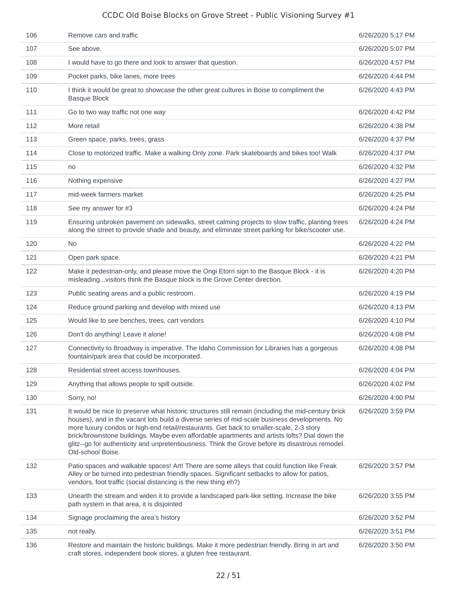| 106 | Remove cars and traffic                                                                                                                                                                                                                                                                                                                                                                                                                                                                                                   | 6/26/2020 5:17 PM |
|-----|---------------------------------------------------------------------------------------------------------------------------------------------------------------------------------------------------------------------------------------------------------------------------------------------------------------------------------------------------------------------------------------------------------------------------------------------------------------------------------------------------------------------------|-------------------|
| 107 | See above.                                                                                                                                                                                                                                                                                                                                                                                                                                                                                                                | 6/26/2020 5:07 PM |
| 108 | I would have to go there and look to answer that question.                                                                                                                                                                                                                                                                                                                                                                                                                                                                | 6/26/2020 4:57 PM |
| 109 | Pocket parks, bike lanes, more trees                                                                                                                                                                                                                                                                                                                                                                                                                                                                                      | 6/26/2020 4:44 PM |
| 110 | I think it would be great to showcase the other great cultures in Boise to compliment the<br><b>Basque Block</b>                                                                                                                                                                                                                                                                                                                                                                                                          | 6/26/2020 4:43 PM |
| 111 | Go to two way traffic not one way                                                                                                                                                                                                                                                                                                                                                                                                                                                                                         | 6/26/2020 4:42 PM |
| 112 | More retail                                                                                                                                                                                                                                                                                                                                                                                                                                                                                                               | 6/26/2020 4:38 PM |
| 113 | Green space, parks, trees, grass                                                                                                                                                                                                                                                                                                                                                                                                                                                                                          | 6/26/2020 4:37 PM |
| 114 | Close to motorized traffic. Make a walking Only zone. Park skateboards and bikes too! Walk                                                                                                                                                                                                                                                                                                                                                                                                                                | 6/26/2020 4:37 PM |
| 115 | no                                                                                                                                                                                                                                                                                                                                                                                                                                                                                                                        | 6/26/2020 4:32 PM |
| 116 | Nothing expensive                                                                                                                                                                                                                                                                                                                                                                                                                                                                                                         | 6/26/2020 4:27 PM |
| 117 | mid-week farmers market                                                                                                                                                                                                                                                                                                                                                                                                                                                                                                   | 6/26/2020 4:25 PM |
| 118 | See my answer for #3                                                                                                                                                                                                                                                                                                                                                                                                                                                                                                      | 6/26/2020 4:24 PM |
| 119 | Ensuring unbroken pavement on sidewalks, street calming projects to slow traffic, planting trees<br>along the street to provide shade and beauty, and eliminate street parking for bike/scooter use.                                                                                                                                                                                                                                                                                                                      | 6/26/2020 4:24 PM |
| 120 | N <sub>0</sub>                                                                                                                                                                                                                                                                                                                                                                                                                                                                                                            | 6/26/2020 4:22 PM |
| 121 | Open park space.                                                                                                                                                                                                                                                                                                                                                                                                                                                                                                          | 6/26/2020 4:21 PM |
| 122 | Make it pedestrian-only, and please move the Ongi Etorri sign to the Basque Block - it is<br>misleadingvisitors think the Basque block is the Grove Center direction.                                                                                                                                                                                                                                                                                                                                                     | 6/26/2020 4:20 PM |
| 123 | Public seating areas and a public restroom.                                                                                                                                                                                                                                                                                                                                                                                                                                                                               | 6/26/2020 4:19 PM |
| 124 | Reduce ground parking and develop with mixed use                                                                                                                                                                                                                                                                                                                                                                                                                                                                          | 6/26/2020 4:13 PM |
| 125 | Would like to see benches, trees, cart vendors                                                                                                                                                                                                                                                                                                                                                                                                                                                                            | 6/26/2020 4:10 PM |
| 126 | Don't do anything! Leave it alone!                                                                                                                                                                                                                                                                                                                                                                                                                                                                                        | 6/26/2020 4:08 PM |
| 127 | Connectivity to Broadway is imperative. The Idaho Commission for Libraries has a gorgeous<br>fountain/park area that could be incorporated.                                                                                                                                                                                                                                                                                                                                                                               | 6/26/2020 4:08 PM |
| 128 | Residential street access townhouses.                                                                                                                                                                                                                                                                                                                                                                                                                                                                                     | 6/26/2020 4:04 PM |
| 129 | Anything that allows people to spill outside.                                                                                                                                                                                                                                                                                                                                                                                                                                                                             | 6/26/2020 4:02 PM |
| 130 | Sorry, no!                                                                                                                                                                                                                                                                                                                                                                                                                                                                                                                | 6/26/2020 4:00 PM |
| 131 | It would be nice to preserve what historic structures still remain (including the mid-century brick<br>houses), and in the vacant lots build a diverse series of mid-scale business developments. No<br>more luxury condos or high-end retail/restaurants. Get back to smaller-scale, 2-3 story<br>brick/brownstone buildings. Maybe even affordable apartments and artists lofts? Dial down the<br>glitz--go for authenticity and unpretentiousness. Think the Grove before its disastrous remodel.<br>Old-school Boise. | 6/26/2020 3:59 PM |
| 132 | Patio spaces and walkable spaces! Art! There are some alleys that could function like Freak<br>Alley or be turned into pedestrian friendly spaces. Significant setbacks to allow for patios,<br>vendors, foot traffic (social distancing is the new thing eh?)                                                                                                                                                                                                                                                            | 6/26/2020 3:57 PM |
| 133 | Unearth the stream and widen it to provide a landscaped park-like setting. Increase the bike<br>path system in that area, it is disjointed                                                                                                                                                                                                                                                                                                                                                                                | 6/26/2020 3:55 PM |
| 134 | Signage proclaiming the area's history                                                                                                                                                                                                                                                                                                                                                                                                                                                                                    | 6/26/2020 3:52 PM |
| 135 | not really.                                                                                                                                                                                                                                                                                                                                                                                                                                                                                                               | 6/26/2020 3:51 PM |
| 136 | Restore and maintain the historic buildings. Make it more pedestrian friendly. Bring in art and<br>craft stores, independent book stores, a gluten free restaurant.                                                                                                                                                                                                                                                                                                                                                       | 6/26/2020 3:50 PM |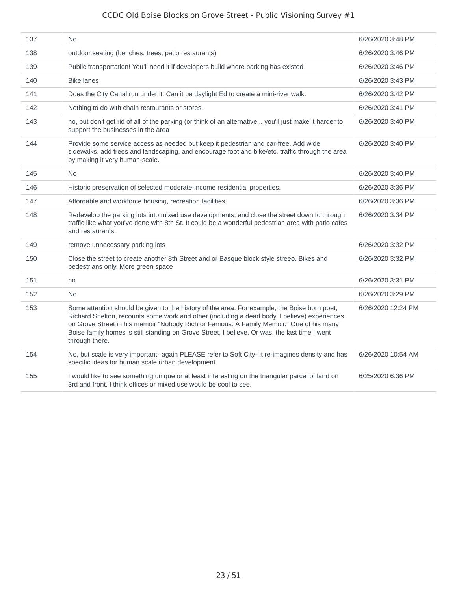| 137 | <b>No</b>                                                                                                                                                                                                                                                                                                                                                                                                  | 6/26/2020 3:48 PM  |
|-----|------------------------------------------------------------------------------------------------------------------------------------------------------------------------------------------------------------------------------------------------------------------------------------------------------------------------------------------------------------------------------------------------------------|--------------------|
| 138 | outdoor seating (benches, trees, patio restaurants)                                                                                                                                                                                                                                                                                                                                                        | 6/26/2020 3:46 PM  |
| 139 | Public transportation! You'll need it if developers build where parking has existed                                                                                                                                                                                                                                                                                                                        | 6/26/2020 3:46 PM  |
| 140 | <b>Bike lanes</b>                                                                                                                                                                                                                                                                                                                                                                                          | 6/26/2020 3:43 PM  |
| 141 | Does the City Canal run under it. Can it be daylight Ed to create a mini-river walk.                                                                                                                                                                                                                                                                                                                       | 6/26/2020 3:42 PM  |
| 142 | Nothing to do with chain restaurants or stores.                                                                                                                                                                                                                                                                                                                                                            | 6/26/2020 3:41 PM  |
| 143 | no, but don't get rid of all of the parking (or think of an alternative you'll just make it harder to<br>support the businesses in the area                                                                                                                                                                                                                                                                | 6/26/2020 3:40 PM  |
| 144 | Provide some service access as needed but keep it pedestrian and car-free. Add wide<br>sidewalks, add trees and landscaping, and encourage foot and bike/etc. traffic through the area<br>by making it very human-scale.                                                                                                                                                                                   | 6/26/2020 3:40 PM  |
| 145 | No.                                                                                                                                                                                                                                                                                                                                                                                                        | 6/26/2020 3:40 PM  |
| 146 | Historic preservation of selected moderate-income residential properties.                                                                                                                                                                                                                                                                                                                                  | 6/26/2020 3:36 PM  |
| 147 | Affordable and workforce housing, recreation facilities                                                                                                                                                                                                                                                                                                                                                    | 6/26/2020 3:36 PM  |
| 148 | Redevelop the parking lots into mixed use developments, and close the street down to through<br>traffic like what you've done with 8th St. It could be a wonderful pedestrian area with patio cafes<br>and restaurants.                                                                                                                                                                                    | 6/26/2020 3:34 PM  |
| 149 | remove unnecessary parking lots                                                                                                                                                                                                                                                                                                                                                                            | 6/26/2020 3:32 PM  |
| 150 | Close the street to create another 8th Street and or Basque block style streeo. Bikes and<br>pedestrians only. More green space                                                                                                                                                                                                                                                                            | 6/26/2020 3:32 PM  |
| 151 | no                                                                                                                                                                                                                                                                                                                                                                                                         | 6/26/2020 3:31 PM  |
| 152 | <b>No</b>                                                                                                                                                                                                                                                                                                                                                                                                  | 6/26/2020 3:29 PM  |
| 153 | Some attention should be given to the history of the area. For example, the Boise born poet,<br>Richard Shelton, recounts some work and other (including a dead body, I believe) experiences<br>on Grove Street in his memoir "Nobody Rich or Famous: A Family Memoir." One of his many<br>Boise family homes is still standing on Grove Street, I believe. Or was, the last time I went<br>through there. | 6/26/2020 12:24 PM |
| 154 | No, but scale is very important--again PLEASE refer to Soft City--it re-imagines density and has<br>specific ideas for human scale urban development                                                                                                                                                                                                                                                       | 6/26/2020 10:54 AM |
| 155 | I would like to see something unique or at least interesting on the triangular parcel of land on<br>3rd and front. I think offices or mixed use would be cool to see.                                                                                                                                                                                                                                      | 6/25/2020 6:36 PM  |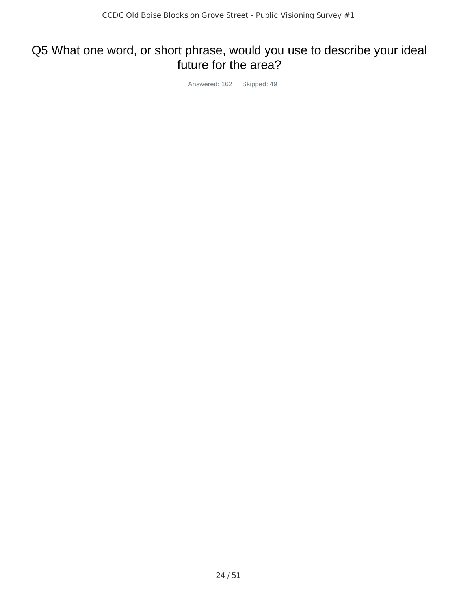## Q5 What one word, or short phrase, would you use to describe your ideal future for the area?

Answered: 162 Skipped: 49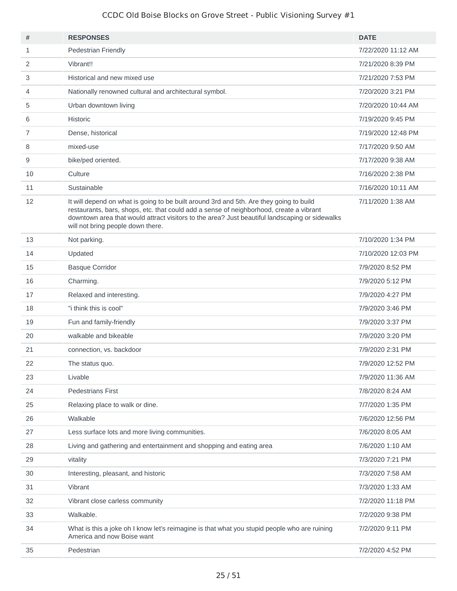| #  | <b>RESPONSES</b>                                                                                                                                                                                                                                                                                                          | <b>DATE</b>        |
|----|---------------------------------------------------------------------------------------------------------------------------------------------------------------------------------------------------------------------------------------------------------------------------------------------------------------------------|--------------------|
| 1  | Pedestrian Friendly                                                                                                                                                                                                                                                                                                       | 7/22/2020 11:12 AM |
| 2  | Vibrant!!                                                                                                                                                                                                                                                                                                                 | 7/21/2020 8:39 PM  |
| 3  | Historical and new mixed use                                                                                                                                                                                                                                                                                              | 7/21/2020 7:53 PM  |
| 4  | Nationally renowned cultural and architectural symbol.                                                                                                                                                                                                                                                                    | 7/20/2020 3:21 PM  |
| 5  | Urban downtown living                                                                                                                                                                                                                                                                                                     | 7/20/2020 10:44 AM |
| 6  | Historic                                                                                                                                                                                                                                                                                                                  | 7/19/2020 9:45 PM  |
| 7  | Dense, historical                                                                                                                                                                                                                                                                                                         | 7/19/2020 12:48 PM |
| 8  | mixed-use                                                                                                                                                                                                                                                                                                                 | 7/17/2020 9:50 AM  |
| 9  | bike/ped oriented.                                                                                                                                                                                                                                                                                                        | 7/17/2020 9:38 AM  |
| 10 | Culture                                                                                                                                                                                                                                                                                                                   | 7/16/2020 2:38 PM  |
| 11 | Sustainable                                                                                                                                                                                                                                                                                                               | 7/16/2020 10:11 AM |
| 12 | It will depend on what is going to be built around 3rd and 5th. Are they going to build<br>restaurants, bars, shops, etc. that could add a sense of neighborhood, create a vibrant<br>downtown area that would attract visitors to the area? Just beautiful landscaping or sidewalks<br>will not bring people down there. | 7/11/2020 1:38 AM  |
| 13 | Not parking.                                                                                                                                                                                                                                                                                                              | 7/10/2020 1:34 PM  |
| 14 | Updated                                                                                                                                                                                                                                                                                                                   | 7/10/2020 12:03 PM |
| 15 | <b>Basque Corridor</b>                                                                                                                                                                                                                                                                                                    | 7/9/2020 8:52 PM   |
| 16 | Charming.                                                                                                                                                                                                                                                                                                                 | 7/9/2020 5:12 PM   |
| 17 | Relaxed and interesting.                                                                                                                                                                                                                                                                                                  | 7/9/2020 4:27 PM   |
| 18 | "i think this is cool"                                                                                                                                                                                                                                                                                                    | 7/9/2020 3:46 PM   |
| 19 | Fun and family-friendly                                                                                                                                                                                                                                                                                                   | 7/9/2020 3:37 PM   |
| 20 | walkable and bikeable                                                                                                                                                                                                                                                                                                     | 7/9/2020 3:20 PM   |
| 21 | connection, vs. backdoor                                                                                                                                                                                                                                                                                                  | 7/9/2020 2:31 PM   |
| 22 | The status quo.                                                                                                                                                                                                                                                                                                           | 7/9/2020 12:52 PM  |
| 23 | Livable                                                                                                                                                                                                                                                                                                                   | 7/9/2020 11:36 AM  |
| 24 | <b>Pedestrians First</b>                                                                                                                                                                                                                                                                                                  | 7/8/2020 8:24 AM   |
| 25 | Relaxing place to walk or dine.                                                                                                                                                                                                                                                                                           | 7/7/2020 1:35 PM   |
| 26 | Walkable                                                                                                                                                                                                                                                                                                                  | 7/6/2020 12:56 PM  |
| 27 | Less surface lots and more living communities.                                                                                                                                                                                                                                                                            | 7/6/2020 8:05 AM   |
| 28 | Living and gathering and entertainment and shopping and eating area                                                                                                                                                                                                                                                       | 7/6/2020 1:10 AM   |
| 29 | vitality                                                                                                                                                                                                                                                                                                                  | 7/3/2020 7:21 PM   |
| 30 | Interesting, pleasant, and historic                                                                                                                                                                                                                                                                                       | 7/3/2020 7:58 AM   |
| 31 | Vibrant                                                                                                                                                                                                                                                                                                                   | 7/3/2020 1:33 AM   |
| 32 | Vibrant close carless community                                                                                                                                                                                                                                                                                           | 7/2/2020 11:18 PM  |
| 33 | Walkable.                                                                                                                                                                                                                                                                                                                 | 7/2/2020 9:38 PM   |
| 34 | What is this a joke oh I know let's reimagine is that what you stupid people who are ruining<br>America and now Boise want                                                                                                                                                                                                | 7/2/2020 9:11 PM   |
| 35 | Pedestrian                                                                                                                                                                                                                                                                                                                | 7/2/2020 4:52 PM   |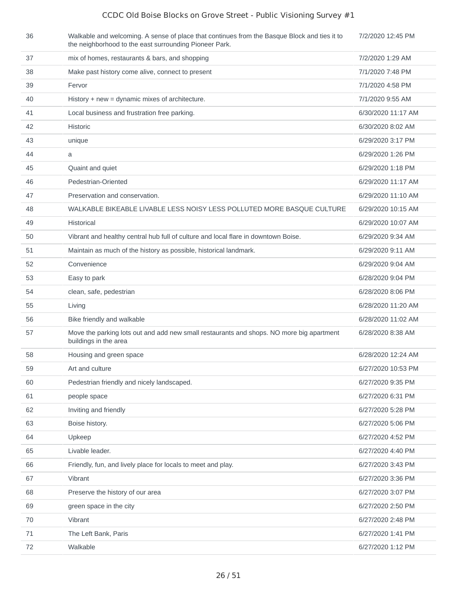| 36 | Walkable and welcoming. A sense of place that continues from the Basque Block and ties it to<br>the neighborhood to the east surrounding Pioneer Park. | 7/2/2020 12:45 PM  |
|----|--------------------------------------------------------------------------------------------------------------------------------------------------------|--------------------|
| 37 | mix of homes, restaurants & bars, and shopping                                                                                                         | 7/2/2020 1:29 AM   |
| 38 | Make past history come alive, connect to present                                                                                                       | 7/1/2020 7:48 PM   |
| 39 | Fervor                                                                                                                                                 | 7/1/2020 4:58 PM   |
| 40 | History $+$ new $=$ dynamic mixes of architecture.                                                                                                     | 7/1/2020 9:55 AM   |
| 41 | Local business and frustration free parking.                                                                                                           | 6/30/2020 11:17 AM |
| 42 | Historic                                                                                                                                               | 6/30/2020 8:02 AM  |
| 43 | unique                                                                                                                                                 | 6/29/2020 3:17 PM  |
| 44 | a                                                                                                                                                      | 6/29/2020 1:26 PM  |
| 45 | Quaint and quiet                                                                                                                                       | 6/29/2020 1:18 PM  |
| 46 | Pedestrian-Oriented                                                                                                                                    | 6/29/2020 11:17 AM |
| 47 | Preservation and conservation.                                                                                                                         | 6/29/2020 11:10 AM |
| 48 | WALKABLE BIKEABLE LIVABLE LESS NOISY LESS POLLUTED MORE BASQUE CULTURE                                                                                 | 6/29/2020 10:15 AM |
| 49 | Historical                                                                                                                                             | 6/29/2020 10:07 AM |
| 50 | Vibrant and healthy central hub full of culture and local flare in downtown Boise.                                                                     | 6/29/2020 9:34 AM  |
| 51 | Maintain as much of the history as possible, historical landmark.                                                                                      | 6/29/2020 9:11 AM  |
| 52 | Convenience                                                                                                                                            | 6/29/2020 9:04 AM  |
| 53 | Easy to park                                                                                                                                           | 6/28/2020 9:04 PM  |
| 54 | clean, safe, pedestrian                                                                                                                                | 6/28/2020 8:06 PM  |
| 55 | Living                                                                                                                                                 | 6/28/2020 11:20 AM |
| 56 | Bike friendly and walkable                                                                                                                             | 6/28/2020 11:02 AM |
| 57 | Move the parking lots out and add new small restaurants and shops. NO more big apartment<br>buildings in the area                                      | 6/28/2020 8:38 AM  |
| 58 | Housing and green space                                                                                                                                | 6/28/2020 12:24 AM |
| 59 | Art and culture                                                                                                                                        | 6/27/2020 10:53 PM |
| 60 | Pedestrian friendly and nicely landscaped.                                                                                                             | 6/27/2020 9:35 PM  |
| 61 | people space                                                                                                                                           | 6/27/2020 6:31 PM  |
| 62 | Inviting and friendly                                                                                                                                  | 6/27/2020 5:28 PM  |
| 63 | Boise history.                                                                                                                                         | 6/27/2020 5:06 PM  |
| 64 | Upkeep                                                                                                                                                 | 6/27/2020 4:52 PM  |
| 65 | Livable leader.                                                                                                                                        | 6/27/2020 4:40 PM  |
| 66 | Friendly, fun, and lively place for locals to meet and play.                                                                                           | 6/27/2020 3:43 PM  |
| 67 | Vibrant                                                                                                                                                | 6/27/2020 3:36 PM  |
| 68 | Preserve the history of our area                                                                                                                       | 6/27/2020 3:07 PM  |
| 69 | green space in the city                                                                                                                                | 6/27/2020 2:50 PM  |
| 70 | Vibrant                                                                                                                                                | 6/27/2020 2:48 PM  |
| 71 | The Left Bank, Paris                                                                                                                                   | 6/27/2020 1:41 PM  |
| 72 | Walkable                                                                                                                                               | 6/27/2020 1:12 PM  |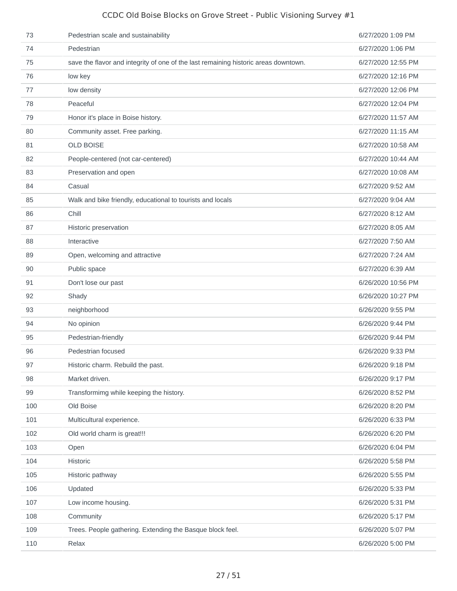| 73  | Pedestrian scale and sustainability                                                 | 6/27/2020 1:09 PM  |
|-----|-------------------------------------------------------------------------------------|--------------------|
| 74  | Pedestrian                                                                          | 6/27/2020 1:06 PM  |
| 75  | save the flavor and integrity of one of the last remaining historic areas downtown. | 6/27/2020 12:55 PM |
| 76  | low key                                                                             | 6/27/2020 12:16 PM |
| 77  | low density                                                                         | 6/27/2020 12:06 PM |
| 78  | Peaceful                                                                            | 6/27/2020 12:04 PM |
| 79  | Honor it's place in Boise history.                                                  | 6/27/2020 11:57 AM |
| 80  | Community asset. Free parking.                                                      | 6/27/2020 11:15 AM |
| 81  | <b>OLD BOISE</b>                                                                    | 6/27/2020 10:58 AM |
| 82  | People-centered (not car-centered)                                                  | 6/27/2020 10:44 AM |
| 83  | Preservation and open                                                               | 6/27/2020 10:08 AM |
| 84  | Casual                                                                              | 6/27/2020 9:52 AM  |
| 85  | Walk and bike friendly, educational to tourists and locals                          | 6/27/2020 9:04 AM  |
| 86  | Chill                                                                               | 6/27/2020 8:12 AM  |
| 87  | Historic preservation                                                               | 6/27/2020 8:05 AM  |
| 88  | Interactive                                                                         | 6/27/2020 7:50 AM  |
| 89  | Open, welcoming and attractive                                                      | 6/27/2020 7:24 AM  |
| 90  | Public space                                                                        | 6/27/2020 6:39 AM  |
| 91  | Don't lose our past                                                                 | 6/26/2020 10:56 PM |
| 92  | Shady                                                                               | 6/26/2020 10:27 PM |
| 93  | neighborhood                                                                        | 6/26/2020 9:55 PM  |
| 94  | No opinion                                                                          | 6/26/2020 9:44 PM  |
| 95  | Pedestrian-friendly                                                                 | 6/26/2020 9:44 PM  |
| 96  | Pedestrian focused                                                                  | 6/26/2020 9:33 PM  |
| 97  | Historic charm. Rebuild the past.                                                   | 6/26/2020 9:18 PM  |
| 98  | Market driven.                                                                      | 6/26/2020 9:17 PM  |
| 99  | Transformimg while keeping the history.                                             | 6/26/2020 8:52 PM  |
| 100 | Old Boise                                                                           | 6/26/2020 8:20 PM  |
| 101 | Multicultural experience.                                                           | 6/26/2020 6:33 PM  |
| 102 | Old world charm is great!!!                                                         | 6/26/2020 6:20 PM  |
| 103 | Open                                                                                | 6/26/2020 6:04 PM  |
| 104 | Historic                                                                            | 6/26/2020 5:58 PM  |
| 105 | Historic pathway                                                                    | 6/26/2020 5:55 PM  |
| 106 | Updated                                                                             | 6/26/2020 5:33 PM  |
| 107 | Low income housing.                                                                 | 6/26/2020 5:31 PM  |
| 108 | Community                                                                           | 6/26/2020 5:17 PM  |
| 109 | Trees. People gathering. Extending the Basque block feel.                           | 6/26/2020 5:07 PM  |
| 110 | Relax                                                                               | 6/26/2020 5:00 PM  |
|     |                                                                                     |                    |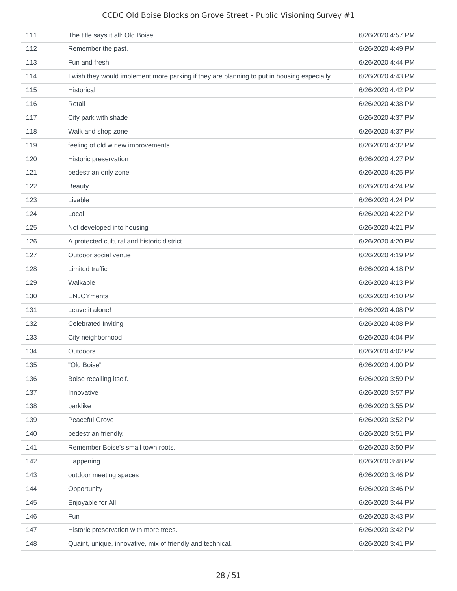| 111 | The title says it all: Old Boise                                                           | 6/26/2020 4:57 PM |
|-----|--------------------------------------------------------------------------------------------|-------------------|
| 112 | Remember the past.                                                                         | 6/26/2020 4:49 PM |
| 113 | Fun and fresh                                                                              | 6/26/2020 4:44 PM |
| 114 | I wish they would implement more parking if they are planning to put in housing especially | 6/26/2020 4:43 PM |
| 115 | Historical                                                                                 | 6/26/2020 4:42 PM |
| 116 | Retail                                                                                     | 6/26/2020 4:38 PM |
| 117 | City park with shade                                                                       | 6/26/2020 4:37 PM |
| 118 | Walk and shop zone                                                                         | 6/26/2020 4:37 PM |
| 119 | feeling of old w new improvements                                                          | 6/26/2020 4:32 PM |
| 120 | Historic preservation                                                                      | 6/26/2020 4:27 PM |
| 121 | pedestrian only zone                                                                       | 6/26/2020 4:25 PM |
| 122 | <b>Beauty</b>                                                                              | 6/26/2020 4:24 PM |
| 123 | Livable                                                                                    | 6/26/2020 4:24 PM |
| 124 | Local                                                                                      | 6/26/2020 4:22 PM |
| 125 | Not developed into housing                                                                 | 6/26/2020 4:21 PM |
| 126 | A protected cultural and historic district                                                 | 6/26/2020 4:20 PM |
| 127 | Outdoor social venue                                                                       | 6/26/2020 4:19 PM |
| 128 | Limited traffic                                                                            | 6/26/2020 4:18 PM |
| 129 | Walkable                                                                                   | 6/26/2020 4:13 PM |
| 130 | <b>ENJOYments</b>                                                                          | 6/26/2020 4:10 PM |
| 131 | Leave it alone!                                                                            | 6/26/2020 4:08 PM |
| 132 | Celebrated Inviting                                                                        | 6/26/2020 4:08 PM |
| 133 | City neighborhood                                                                          | 6/26/2020 4:04 PM |
| 134 | Outdoors                                                                                   | 6/26/2020 4:02 PM |
| 135 | "Old Boise"                                                                                | 6/26/2020 4:00 PM |
| 136 | Boise recalling itself.                                                                    | 6/26/2020 3:59 PM |
| 137 | Innovative                                                                                 | 6/26/2020 3:57 PM |
| 138 | parklike                                                                                   | 6/26/2020 3:55 PM |
| 139 | Peaceful Grove                                                                             | 6/26/2020 3:52 PM |
| 140 | pedestrian friendly.                                                                       | 6/26/2020 3:51 PM |
| 141 | Remember Boise's small town roots.                                                         | 6/26/2020 3:50 PM |
| 142 | Happening                                                                                  | 6/26/2020 3:48 PM |
| 143 | outdoor meeting spaces                                                                     | 6/26/2020 3:46 PM |
| 144 | Opportunity                                                                                | 6/26/2020 3:46 PM |
| 145 | Enjoyable for All                                                                          | 6/26/2020 3:44 PM |
| 146 | Fun                                                                                        | 6/26/2020 3:43 PM |
| 147 | Historic preservation with more trees.                                                     | 6/26/2020 3:42 PM |
| 148 | Quaint, unique, innovative, mix of friendly and technical.                                 | 6/26/2020 3:41 PM |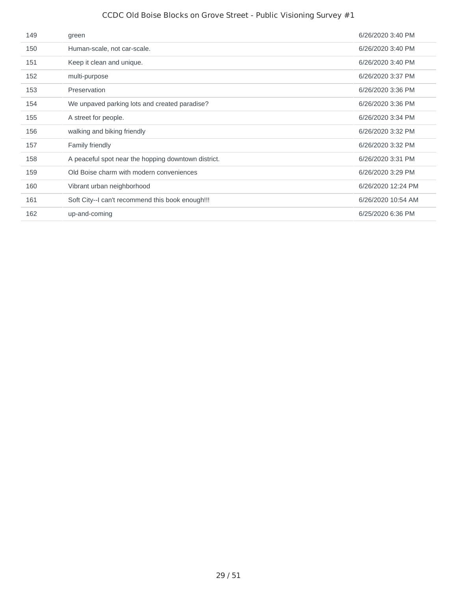| 149 | green                                               | 6/26/2020 3:40 PM  |
|-----|-----------------------------------------------------|--------------------|
| 150 | Human-scale, not car-scale.                         | 6/26/2020 3:40 PM  |
| 151 | Keep it clean and unique.                           | 6/26/2020 3:40 PM  |
| 152 | multi-purpose                                       | 6/26/2020 3:37 PM  |
| 153 | Preservation                                        | 6/26/2020 3:36 PM  |
| 154 | We unpaved parking lots and created paradise?       | 6/26/2020 3:36 PM  |
| 155 | A street for people.                                | 6/26/2020 3:34 PM  |
| 156 | walking and biking friendly                         | 6/26/2020 3:32 PM  |
| 157 | Family friendly                                     | 6/26/2020 3:32 PM  |
| 158 | A peaceful spot near the hopping downtown district. | 6/26/2020 3:31 PM  |
| 159 | Old Boise charm with modern conveniences            | 6/26/2020 3:29 PM  |
| 160 | Vibrant urban neighborhood                          | 6/26/2020 12:24 PM |
| 161 | Soft City--I can't recommend this book enough!!!    | 6/26/2020 10:54 AM |
| 162 | up-and-coming                                       | 6/25/2020 6:36 PM  |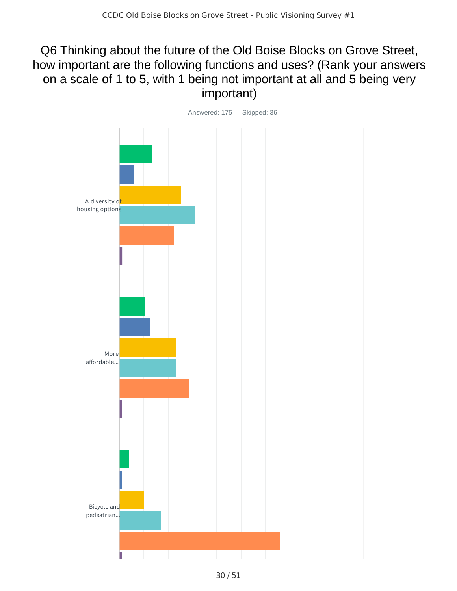## Q6 Thinking about the future of the Old Boise Blocks on Grove Street, how important are the following functions and uses? (Rank your answers on a scale of 1 to 5, with 1 being not important at all and 5 being very important)

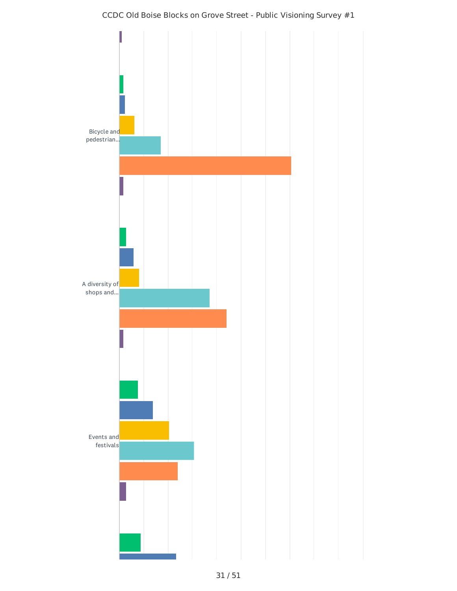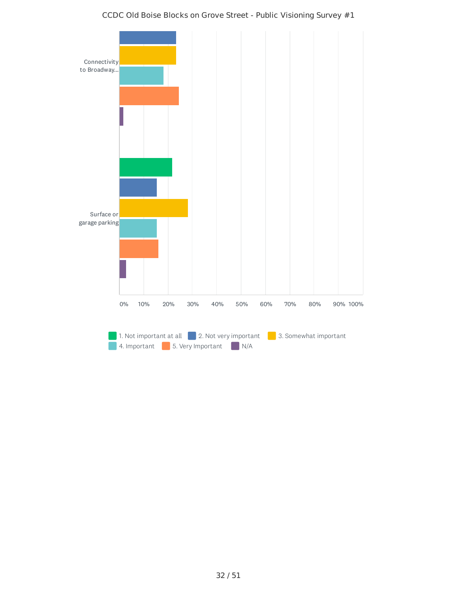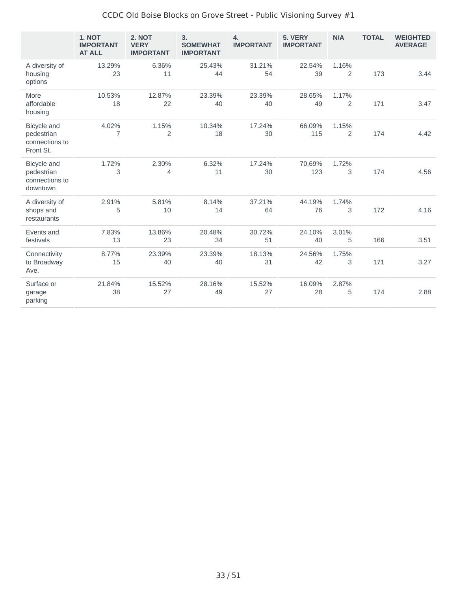|                                                          | 1. NOT<br><b>IMPORTANT</b><br><b>AT ALL</b> | 2. NOT<br><b>VERY</b><br><b>IMPORTANT</b> | 3.<br><b>SOMEWHAT</b><br><b>IMPORTANT</b> | 4.<br><b>IMPORTANT</b> | 5. VERY<br><b>IMPORTANT</b> | N/A                     | <b>TOTAL</b> | <b>WEIGHTED</b><br><b>AVERAGE</b> |
|----------------------------------------------------------|---------------------------------------------|-------------------------------------------|-------------------------------------------|------------------------|-----------------------------|-------------------------|--------------|-----------------------------------|
| A diversity of<br>housing<br>options                     | 13.29%<br>23                                | 6.36%<br>11                               | 25.43%<br>44                              | 31.21%<br>54           | 22.54%<br>39                | 1.16%<br>2              | 173          | 3.44                              |
| More<br>affordable<br>housing                            | 10.53%<br>18                                | 12.87%<br>22                              | 23.39%<br>40                              | 23.39%<br>40           | 28.65%<br>49                | 1.17%<br>2              | 171          | 3.47                              |
| Bicycle and<br>pedestrian<br>connections to<br>Front St. | 4.02%<br>7                                  | 1.15%<br>$\overline{c}$                   | 10.34%<br>18                              | 17.24%<br>30           | 66.09%<br>115               | 1.15%<br>$\overline{2}$ | 174          | 4.42                              |
| Bicycle and<br>pedestrian<br>connections to<br>downtown  | 1.72%<br>3                                  | 2.30%<br>4                                | 6.32%<br>11                               | 17.24%<br>30           | 70.69%<br>123               | 1.72%<br>3              | 174          | 4.56                              |
| A diversity of<br>shops and<br>restaurants               | 2.91%<br>5                                  | 5.81%<br>10                               | 8.14%<br>14                               | 37.21%<br>64           | 44.19%<br>76                | 1.74%<br>3              | 172          | 4.16                              |
| Events and<br>festivals                                  | 7.83%<br>13                                 | 13.86%<br>23                              | 20.48%<br>34                              | 30.72%<br>51           | 24.10%<br>40                | 3.01%<br>5              | 166          | 3.51                              |
| Connectivity<br>to Broadway<br>Ave.                      | 8.77%<br>15                                 | 23.39%<br>40                              | 23.39%<br>40                              | 18.13%<br>31           | 24.56%<br>42                | 1.75%<br>3              | 171          | 3.27                              |
| Surface or<br>garage<br>parking                          | 21.84%<br>38                                | 15.52%<br>27                              | 28.16%<br>49                              | 15.52%<br>27           | 16.09%<br>28                | 2.87%<br>5              | 174          | 2.88                              |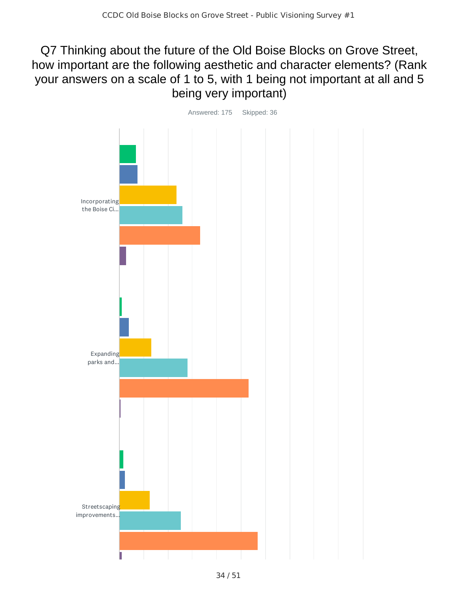## Q7 Thinking about the future of the Old Boise Blocks on Grove Street, how important are the following aesthetic and character elements? (Rank your answers on a scale of 1 to 5, with 1 being not important at all and 5 being very important)

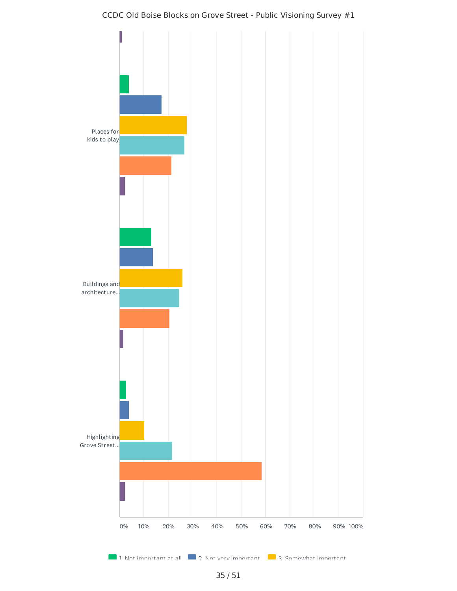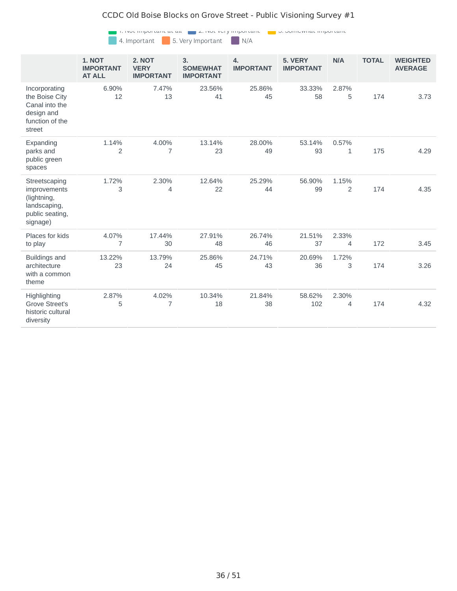1. Not important at all 3. Not very important 3. So comewhat important 4. Important 5. Very Important N/A

|                                                                                              | 1. NOT<br><b>IMPORTANT</b><br><b>AT ALL</b> | 2. NOT<br><b>VERY</b><br><b>IMPORTANT</b> | 3.<br><b>SOMEWHAT</b><br><b>IMPORTANT</b> | 4.<br><b>IMPORTANT</b> | 5. VERY<br><b>IMPORTANT</b> | N/A                   | <b>TOTAL</b> | <b>WEIGHTED</b><br><b>AVERAGE</b> |
|----------------------------------------------------------------------------------------------|---------------------------------------------|-------------------------------------------|-------------------------------------------|------------------------|-----------------------------|-----------------------|--------------|-----------------------------------|
| Incorporating<br>the Boise City<br>Canal into the<br>design and<br>function of the<br>street | 6.90%<br>12                                 | 7.47%<br>13                               | 23.56%<br>41                              | 25.86%<br>45           | 33.33%<br>58                | 2.87%<br>5            | 174          | 3.73                              |
| Expanding<br>parks and<br>public green<br>spaces                                             | 1.14%<br>$\overline{2}$                     | 4.00%<br>$\overline{7}$                   | 13.14%<br>23                              | 28.00%<br>49           | 53.14%<br>93                | 0.57%<br>$\mathbf{1}$ | 175          | 4.29                              |
| Streetscaping<br>improvements<br>(lightning,<br>landscaping,<br>public seating,<br>signage)  | 1.72%<br>3                                  | 2.30%<br>$\overline{4}$                   | 12.64%<br>22                              | 25.29%<br>44           | 56.90%<br>99                | 1.15%<br>2            | 174          | 4.35                              |
| Places for kids<br>to play                                                                   | 4.07%<br>$\overline{7}$                     | 17.44%<br>30                              | 27.91%<br>48                              | 26.74%<br>46           | 21.51%<br>37                | 2.33%<br>4            | 172          | 3.45                              |
| <b>Buildings and</b><br>architecture<br>with a common<br>theme                               | 13.22%<br>23                                | 13.79%<br>24                              | 25.86%<br>45                              | 24.71%<br>43           | 20.69%<br>36                | 1.72%<br>3            | 174          | 3.26                              |
| Highlighting<br><b>Grove Street's</b><br>historic cultural<br>diversity                      | 2.87%<br>5                                  | 4.02%<br>$\overline{7}$                   | 10.34%<br>18                              | 21.84%<br>38           | 58.62%<br>102               | 2.30%<br>4            | 174          | 4.32                              |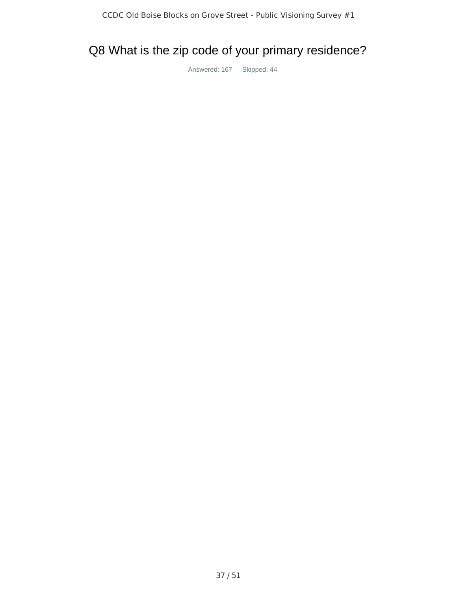# Q8 What is the zip code of your primary residence?

Answered: 167 Skipped: 44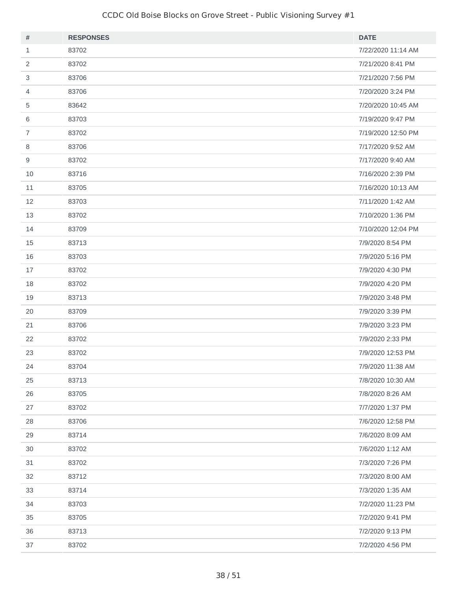| $\#$           | <b>RESPONSES</b> | <b>DATE</b>        |
|----------------|------------------|--------------------|
| $\mathbf{1}$   | 83702            | 7/22/2020 11:14 AM |
| 2              | 83702            | 7/21/2020 8:41 PM  |
| 3              | 83706            | 7/21/2020 7:56 PM  |
| 4              | 83706            | 7/20/2020 3:24 PM  |
| 5              | 83642            | 7/20/2020 10:45 AM |
| 6              | 83703            | 7/19/2020 9:47 PM  |
| $\overline{7}$ | 83702            | 7/19/2020 12:50 PM |
| 8              | 83706            | 7/17/2020 9:52 AM  |
| 9              | 83702            | 7/17/2020 9:40 AM  |
| 10             | 83716            | 7/16/2020 2:39 PM  |
| 11             | 83705            | 7/16/2020 10:13 AM |
| 12             | 83703            | 7/11/2020 1:42 AM  |
| 13             | 83702            | 7/10/2020 1:36 PM  |
| 14             | 83709            | 7/10/2020 12:04 PM |
| 15             | 83713            | 7/9/2020 8:54 PM   |
| 16             | 83703            | 7/9/2020 5:16 PM   |
| 17             | 83702            | 7/9/2020 4:30 PM   |
| 18             | 83702            | 7/9/2020 4:20 PM   |
| 19             | 83713            | 7/9/2020 3:48 PM   |
| 20             | 83709            | 7/9/2020 3:39 PM   |
| 21             | 83706            | 7/9/2020 3:23 PM   |
| 22             | 83702            | 7/9/2020 2:33 PM   |
| 23             | 83702            | 7/9/2020 12:53 PM  |
| 24             | 83704            | 7/9/2020 11:38 AM  |
| 25             | 83713            | 7/8/2020 10:30 AM  |
| 26             | 83705            | 7/8/2020 8:26 AM   |
| 27             | 83702            | 7/7/2020 1:37 PM   |
| 28             | 83706            | 7/6/2020 12:58 PM  |
| 29             | 83714            | 7/6/2020 8:09 AM   |
| 30             | 83702            | 7/6/2020 1:12 AM   |
| 31             | 83702            | 7/3/2020 7:26 PM   |
| 32             | 83712            | 7/3/2020 8:00 AM   |
| 33             | 83714            | 7/3/2020 1:35 AM   |
| 34             | 83703            | 7/2/2020 11:23 PM  |
| 35             | 83705            | 7/2/2020 9:41 PM   |
| 36             | 83713            | 7/2/2020 9:13 PM   |
| 37             | 83702            | 7/2/2020 4:56 PM   |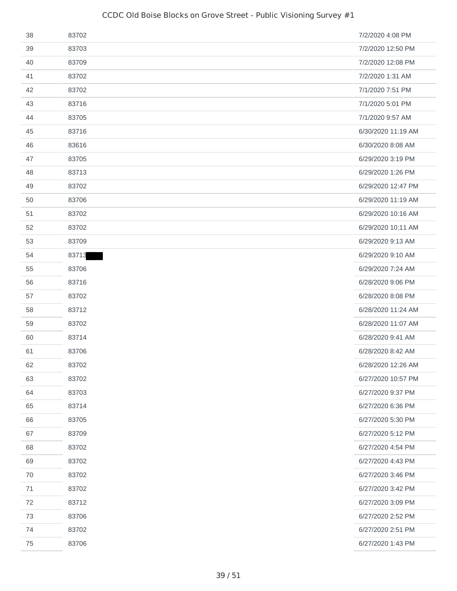| 38 | 83702 | 7/2/2020 4:08 PM   |
|----|-------|--------------------|
| 39 | 83703 | 7/2/2020 12:50 PM  |
| 40 | 83709 | 7/2/2020 12:08 PM  |
| 41 | 83702 | 7/2/2020 1:31 AM   |
| 42 | 83702 | 7/1/2020 7:51 PM   |
| 43 | 83716 | 7/1/2020 5:01 PM   |
| 44 | 83705 | 7/1/2020 9:57 AM   |
| 45 | 83716 | 6/30/2020 11:19 AM |
| 46 | 83616 | 6/30/2020 8:08 AM  |
| 47 | 83705 | 6/29/2020 3:19 PM  |
| 48 | 83713 | 6/29/2020 1:26 PM  |
| 49 | 83702 | 6/29/2020 12:47 PM |
| 50 | 83706 | 6/29/2020 11:19 AM |
| 51 | 83702 | 6/29/2020 10:16 AM |
| 52 | 83702 | 6/29/2020 10:11 AM |
| 53 | 83709 | 6/29/2020 9:13 AM  |
| 54 | 83713 | 6/29/2020 9:10 AM  |
| 55 | 83706 | 6/29/2020 7:24 AM  |
| 56 | 83716 | 6/28/2020 9:06 PM  |
| 57 | 83702 | 6/28/2020 8:08 PM  |
| 58 | 83712 | 6/28/2020 11:24 AM |
| 59 | 83702 | 6/28/2020 11:07 AM |
| 60 | 83714 | 6/28/2020 9:41 AM  |
| 61 | 83706 | 6/28/2020 8:42 AM  |
| 62 | 83702 | 6/28/2020 12:26 AM |
| 63 | 83702 | 6/27/2020 10:57 PM |
| 64 | 83703 | 6/27/2020 9:37 PM  |
| 65 | 83714 | 6/27/2020 6:36 PM  |
| 66 | 83705 | 6/27/2020 5:30 PM  |
| 67 | 83709 | 6/27/2020 5:12 PM  |
| 68 | 83702 | 6/27/2020 4:54 PM  |
| 69 | 83702 | 6/27/2020 4:43 PM  |
| 70 | 83702 | 6/27/2020 3:46 PM  |
| 71 | 83702 | 6/27/2020 3:42 PM  |
| 72 | 83712 | 6/27/2020 3:09 PM  |
| 73 | 83706 | 6/27/2020 2:52 PM  |
| 74 | 83702 | 6/27/2020 2:51 PM  |
| 75 | 83706 | 6/27/2020 1:43 PM  |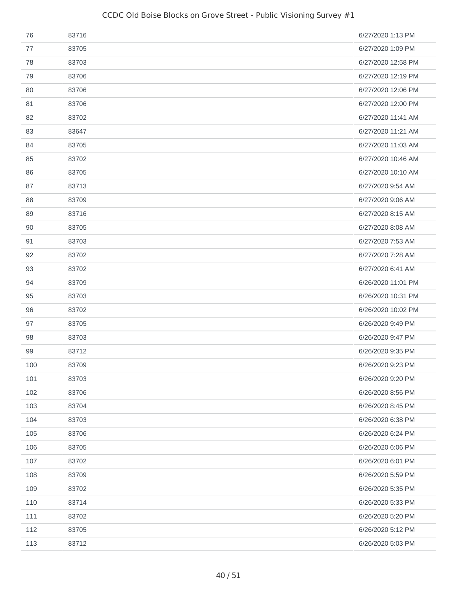| 76  | 83716 | 6/27/2020 1:13 PM  |
|-----|-------|--------------------|
| 77  | 83705 | 6/27/2020 1:09 PM  |
| 78  | 83703 | 6/27/2020 12:58 PM |
| 79  | 83706 | 6/27/2020 12:19 PM |
| 80  | 83706 | 6/27/2020 12:06 PM |
| 81  | 83706 | 6/27/2020 12:00 PM |
| 82  | 83702 | 6/27/2020 11:41 AM |
| 83  | 83647 | 6/27/2020 11:21 AM |
| 84  | 83705 | 6/27/2020 11:03 AM |
| 85  | 83702 | 6/27/2020 10:46 AM |
| 86  | 83705 | 6/27/2020 10:10 AM |
| 87  | 83713 | 6/27/2020 9:54 AM  |
| 88  | 83709 | 6/27/2020 9:06 AM  |
| 89  | 83716 | 6/27/2020 8:15 AM  |
| 90  | 83705 | 6/27/2020 8:08 AM  |
| 91  | 83703 | 6/27/2020 7:53 AM  |
| 92  | 83702 | 6/27/2020 7:28 AM  |
| 93  | 83702 | 6/27/2020 6:41 AM  |
| 94  | 83709 | 6/26/2020 11:01 PM |
| 95  | 83703 | 6/26/2020 10:31 PM |
| 96  | 83702 | 6/26/2020 10:02 PM |
| 97  | 83705 | 6/26/2020 9:49 PM  |
| 98  | 83703 | 6/26/2020 9:47 PM  |
| 99  | 83712 | 6/26/2020 9:35 PM  |
| 100 | 83709 | 6/26/2020 9:23 PM  |
| 101 | 83703 | 6/26/2020 9:20 PM  |
| 102 | 83706 | 6/26/2020 8:56 PM  |
| 103 | 83704 | 6/26/2020 8:45 PM  |
| 104 | 83703 | 6/26/2020 6:38 PM  |
| 105 | 83706 | 6/26/2020 6:24 PM  |
| 106 | 83705 | 6/26/2020 6:06 PM  |
| 107 | 83702 | 6/26/2020 6:01 PM  |
| 108 | 83709 | 6/26/2020 5:59 PM  |
| 109 | 83702 | 6/26/2020 5:35 PM  |
| 110 | 83714 | 6/26/2020 5:33 PM  |
| 111 | 83702 | 6/26/2020 5:20 PM  |
| 112 | 83705 | 6/26/2020 5:12 PM  |
| 113 | 83712 | 6/26/2020 5:03 PM  |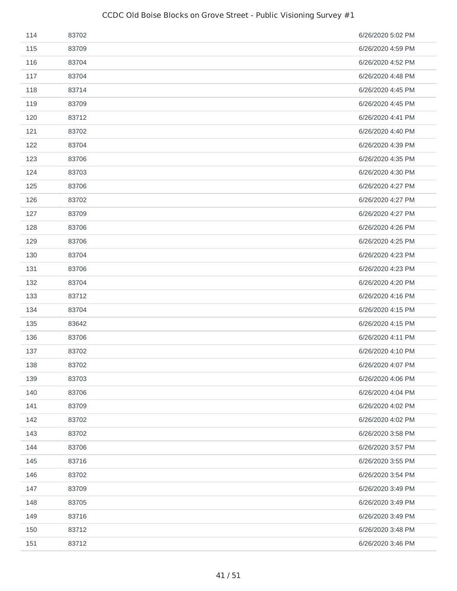| 114 | 83702 | 6/26/2020 5:02 PM |
|-----|-------|-------------------|
| 115 | 83709 | 6/26/2020 4:59 PM |
| 116 | 83704 | 6/26/2020 4:52 PM |
| 117 | 83704 | 6/26/2020 4:48 PM |
| 118 | 83714 | 6/26/2020 4:45 PM |
| 119 | 83709 | 6/26/2020 4:45 PM |
| 120 | 83712 | 6/26/2020 4:41 PM |
| 121 | 83702 | 6/26/2020 4:40 PM |
| 122 | 83704 | 6/26/2020 4:39 PM |
| 123 | 83706 | 6/26/2020 4:35 PM |
| 124 | 83703 | 6/26/2020 4:30 PM |
| 125 | 83706 | 6/26/2020 4:27 PM |
| 126 | 83702 | 6/26/2020 4:27 PM |
| 127 | 83709 | 6/26/2020 4:27 PM |
| 128 | 83706 | 6/26/2020 4:26 PM |
| 129 | 83706 | 6/26/2020 4:25 PM |
| 130 | 83704 | 6/26/2020 4:23 PM |
| 131 | 83706 | 6/26/2020 4:23 PM |
| 132 | 83704 | 6/26/2020 4:20 PM |
| 133 | 83712 | 6/26/2020 4:16 PM |
| 134 | 83704 | 6/26/2020 4:15 PM |
| 135 | 83642 | 6/26/2020 4:15 PM |
| 136 | 83706 | 6/26/2020 4:11 PM |
| 137 | 83702 | 6/26/2020 4:10 PM |
| 138 | 83702 | 6/26/2020 4:07 PM |
| 139 | 83703 | 6/26/2020 4:06 PM |
| 140 | 83706 | 6/26/2020 4:04 PM |
| 141 | 83709 | 6/26/2020 4:02 PM |
| 142 | 83702 | 6/26/2020 4:02 PM |
| 143 | 83702 | 6/26/2020 3:58 PM |
| 144 | 83706 | 6/26/2020 3:57 PM |
| 145 | 83716 | 6/26/2020 3:55 PM |
| 146 | 83702 | 6/26/2020 3:54 PM |
| 147 | 83709 | 6/26/2020 3:49 PM |
| 148 | 83705 | 6/26/2020 3:49 PM |
| 149 | 83716 | 6/26/2020 3:49 PM |
| 150 | 83712 | 6/26/2020 3:48 PM |
| 151 | 83712 | 6/26/2020 3:46 PM |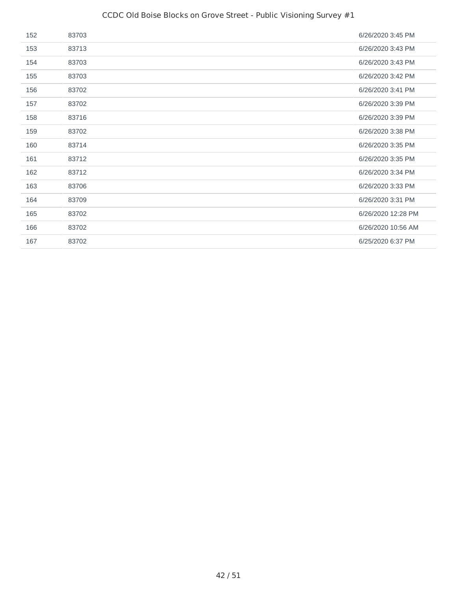| 152 | 83703 | 6/26/2020 3:45 PM  |
|-----|-------|--------------------|
| 153 | 83713 | 6/26/2020 3:43 PM  |
| 154 | 83703 | 6/26/2020 3:43 PM  |
| 155 | 83703 | 6/26/2020 3:42 PM  |
| 156 | 83702 | 6/26/2020 3:41 PM  |
| 157 | 83702 | 6/26/2020 3:39 PM  |
| 158 | 83716 | 6/26/2020 3:39 PM  |
| 159 | 83702 | 6/26/2020 3:38 PM  |
| 160 | 83714 | 6/26/2020 3:35 PM  |
| 161 | 83712 | 6/26/2020 3:35 PM  |
| 162 | 83712 | 6/26/2020 3:34 PM  |
| 163 | 83706 | 6/26/2020 3:33 PM  |
| 164 | 83709 | 6/26/2020 3:31 PM  |
| 165 | 83702 | 6/26/2020 12:28 PM |
| 166 | 83702 | 6/26/2020 10:56 AM |
| 167 | 83702 | 6/25/2020 6:37 PM  |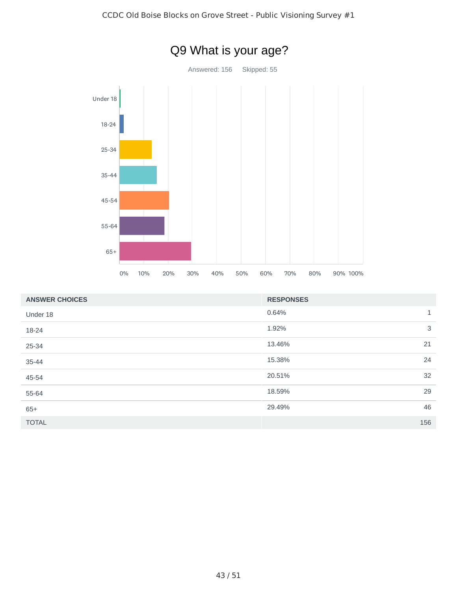

| <b>ANSWER CHOICES</b> | <b>RESPONSES</b> |
|-----------------------|------------------|
| Under 18              | 0.64%<br>1       |
| 18-24                 | 3<br>1.92%       |
| 25-34                 | 21<br>13.46%     |
| 35-44                 | 24<br>15.38%     |
| 45-54                 | 32<br>20.51%     |
| 55-64                 | 29<br>18.59%     |
| $65+$                 | 46<br>29.49%     |
| <b>TOTAL</b>          | 156              |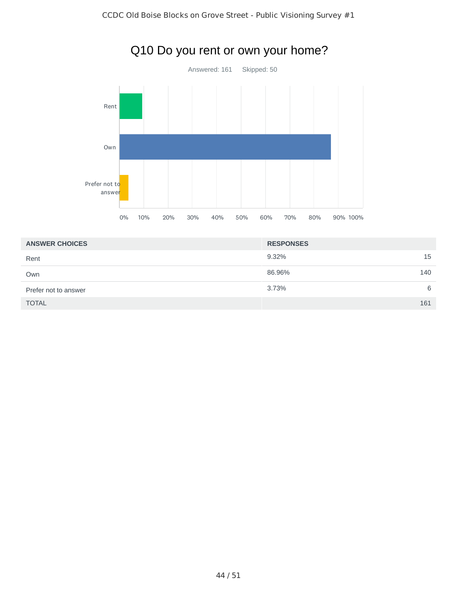

| Q10 Do you rent or own your home? |  |
|-----------------------------------|--|
|-----------------------------------|--|

| <b>ANSWER CHOICES</b> | <b>RESPONSES</b> |
|-----------------------|------------------|
| Rent                  | 9.32%<br>15      |
| Own                   | 86.96%<br>140    |
| Prefer not to answer  | 3.73%<br>6       |
| <b>TOTAL</b>          | 161              |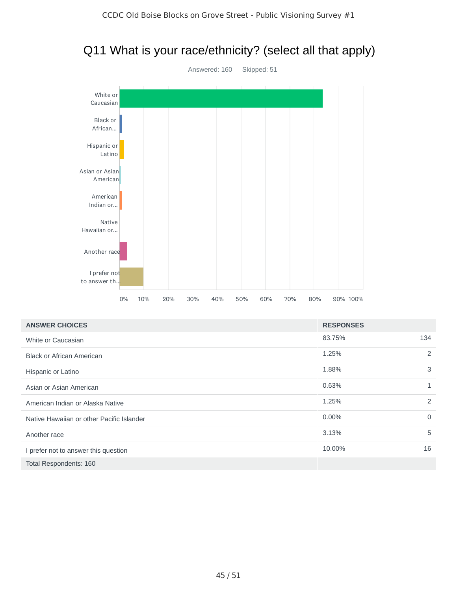## Q11 What is your race/ethnicity? (select all that apply)



| <b>ANSWER CHOICES</b>                     | <b>RESPONSES</b> |              |
|-------------------------------------------|------------------|--------------|
| White or Caucasian                        | 83.75%           | 134          |
| <b>Black or African American</b>          | 1.25%            | 2            |
| Hispanic or Latino                        | 1.88%            | 3            |
| Asian or Asian American                   | 0.63%            | $\mathbf{1}$ |
| American Indian or Alaska Native          | 1.25%            | 2            |
| Native Hawaiian or other Pacific Islander | 0.00%            | $\Omega$     |
| Another race                              | 3.13%            | 5            |
| I prefer not to answer this question      | 10.00%           | 16           |
| Total Respondents: 160                    |                  |              |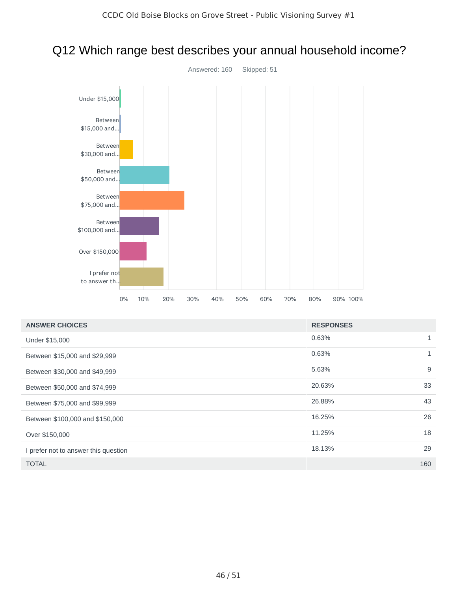

## Q12 Which range best describes your annual household income?

| <b>ANSWER CHOICES</b>                | <b>RESPONSES</b> |     |
|--------------------------------------|------------------|-----|
| Under \$15,000                       | 0.63%            | 1   |
| Between \$15,000 and \$29,999        | 0.63%            | 1   |
| Between \$30,000 and \$49,999        | 5.63%            | 9   |
| Between \$50,000 and \$74,999        | 20.63%           | 33  |
| Between \$75,000 and \$99,999        | 26.88%           | 43  |
| Between \$100,000 and \$150,000      | 16.25%           | 26  |
| Over \$150,000                       | 11.25%           | 18  |
| I prefer not to answer this question | 18.13%           | 29  |
| <b>TOTAL</b>                         |                  | 160 |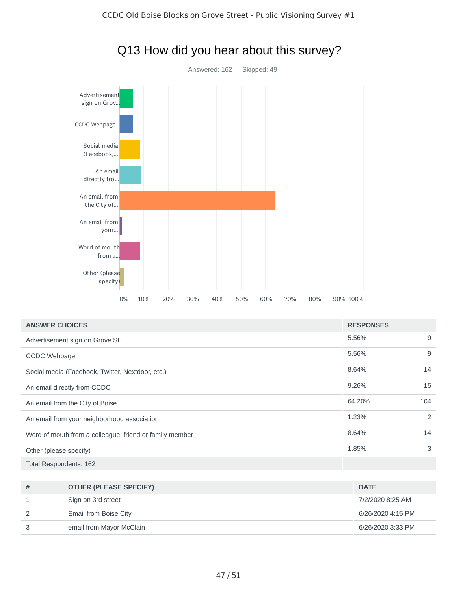

| Q13 How did you hear about this survey? |  |  |  |
|-----------------------------------------|--|--|--|
|-----------------------------------------|--|--|--|

| <b>ANSWER CHOICES</b>                                   | <b>RESPONSES</b> |     |
|---------------------------------------------------------|------------------|-----|
| Advertisement sign on Grove St.                         | 5.56%            | 9   |
| <b>CCDC</b> Webpage                                     | 5.56%            | 9   |
| Social media (Facebook, Twitter, Nextdoor, etc.)        | 8.64%            | 14  |
| An email directly from CCDC                             | 9.26%            | 15  |
| An email from the City of Boise                         | 64.20%           | 104 |
| An email from your neighborhood association             | 1.23%            | 2   |
| Word of mouth from a colleague, friend or family member | 8.64%            | 14  |
| Other (please specify)                                  | 1.85%            | 3   |
| Total Respondents: 162                                  |                  |     |

| # | <b>OTHER (PLEASE SPECIFY)</b> | <b>DATE</b>       |
|---|-------------------------------|-------------------|
|   | Sign on 3rd street            | 7/2/2020 8:25 AM  |
| 2 | Email from Boise City         | 6/26/2020 4:15 PM |
| 3 | email from Mayor McClain      | 6/26/2020 3:33 PM |